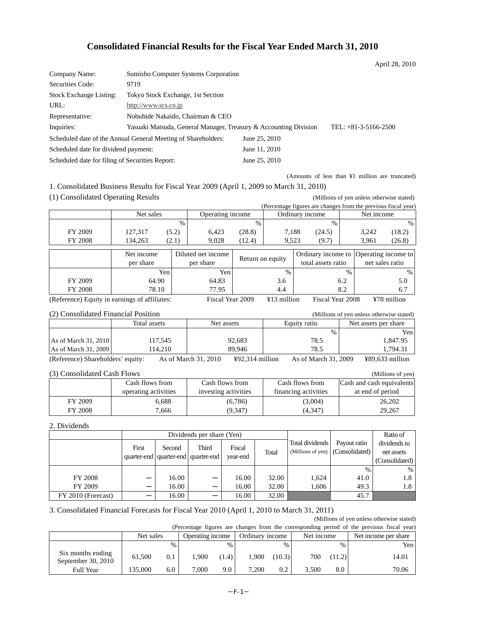# **Consolidated Financial Results for the Fiscal Year Ended March 31, 2010**

|                                                 |                                                                  |               | April 28, 2010         |
|-------------------------------------------------|------------------------------------------------------------------|---------------|------------------------|
| Company Name:                                   | Sumisho Computer Systems Corporation                             |               |                        |
| Securities Code:                                | 9719                                                             |               |                        |
| <b>Stock Exchange Listing:</b>                  | Tokyo Stock Exchange, 1st Section                                |               |                        |
| URL:                                            | http://www.scs.co.jp                                             |               |                        |
| Representative:                                 | Nobuhide Nakaido, Chairman & CEO                                 |               |                        |
| Inquiries:                                      | Yasuaki Matsuda, General Manager, Treasury & Accounting Division |               | TEL: $+81-3-5166-2500$ |
|                                                 | Scheduled date of the Annual General Meeting of Shareholders:    | June 25, 2010 |                        |
| Scheduled date for dividend payment:            |                                                                  | June 11, 2010 |                        |
| Scheduled date for filing of Securities Report: |                                                                  | June 25, 2010 |                        |
|                                                 |                                                                  |               |                        |

(Amounts of less than ¥1 million are truncated)

1. Consolidated Business Results for Fiscal Year 2009 (April 1, 2009 to March 31, 2010)

(1) Consolidated Operating Results (Millions of yen unless otherwise stated)

(Percentage figures are changes from the previous fiscal year)

|                | Net sales |                                  | <b>O</b> Derating income |        | Ordinary income |        | Net income |        |
|----------------|-----------|----------------------------------|--------------------------|--------|-----------------|--------|------------|--------|
|                |           | %                                |                          | %      |                 | %      |            | $\%$   |
| FY 2009        | 127,317   | (5.2)                            | 6,423                    | (28.8) | 7,188           | (24.5) | 3,242      | (18.2) |
| <b>FY 2008</b> | 134.263   | $\curvearrowright$<br>$\sim$ . 1 | 9,028                    | (12.4) | 9.523           | (9.7)  | 3.961      | (26.8) |

|         | Net income<br>per share | Diluted net income<br>per share | Return on equity | total assets ratio | Ordinary income to  Operating income to  <br>net sales ratio |
|---------|-------------------------|---------------------------------|------------------|--------------------|--------------------------------------------------------------|
|         | Yen i                   | Yen                             | $\%$             | $\frac{0}{0}$      | %                                                            |
| FY 2009 | 64.90                   | 64.83                           | 3.6              | 6.2                | 5.0                                                          |
| FY 2008 | 78.10                   | 77.95                           | 4.4              | 8.2                | 6.7                                                          |

(Reference) Equity in earnings of affiliates: Fiscal Year 2009 ¥13 million Fiscal Year 2008 ¥78 million

| (2) Consolidated Financial Position |  |
|-------------------------------------|--|
|-------------------------------------|--|

| (2) Consolidated Financial Position |              |                                | (Millions of yen unless otherwise stated) |                                     |      |                      |  |
|-------------------------------------|--------------|--------------------------------|-------------------------------------------|-------------------------------------|------|----------------------|--|
|                                     | Total assets | Net assets                     |                                           | Equity ratio                        |      | Net assets per share |  |
|                                     |              |                                |                                           |                                     | $\%$ | Yen                  |  |
| As of March 31, 2010                | 117.545      |                                | 92,683                                    | 78.5                                |      | 1.847.95             |  |
| As of March 31, 2009                | 114.210      |                                | 89.946                                    | 78.5                                |      | 1.794.31             |  |
|                                     |              | $A = -1$ $M = -1$ , $21$ $210$ | 3702.214111                               | $A = -1.31$ $A = -1.21$ $A = 0.000$ |      |                      |  |

(Reference) Shareholders' equity: As of March 31, 2010 ¥92,314 million As of March 31, 2009 ¥89,633 million

#### (3) Consolidated Cash Flows (Millions of yen)

| Cash flows from |                      | Cash flows from      | Cash flows from      | Cash and cash equivalents |
|-----------------|----------------------|----------------------|----------------------|---------------------------|
|                 | operating activities | investing activities | financing activities | at end of period          |
| FY 2009         | 6.688                | (6,786)              | (3,004)              | 26,202                    |
| FY 2008         | 7,666                | (9,347)              | (4,347)              | 29,267                    |

## 2. Dividends

|                    | Dividends per share (Yen) |        |                                                  |                    |       |                                              |                                | Ratio of                                     |
|--------------------|---------------------------|--------|--------------------------------------------------|--------------------|-------|----------------------------------------------|--------------------------------|----------------------------------------------|
|                    | First                     | Second | Third<br>quarter-end   quarter-end   quarter-end | Fiscal<br>vear-end | Total | Total dividends<br>(Millions of yen) $\vert$ | Payout ratio<br>(Consolidated) | dividends to<br>net assets<br>(Consolidated) |
|                    |                           |        |                                                  |                    |       |                                              | $\frac{0}{0}$                  | $\%$                                         |
| <b>FY 2008</b>     | –                         | 16.00  |                                                  | 16.00              | 32.00 | 1,624                                        | 41.0                           | 1.8                                          |
| FY 2009            | —                         | 16.00  |                                                  | 16.00              | 32.00 | 1.606                                        | 49.3                           | 1.8                                          |
| FY 2010 (Forecast) |                           | 16.00  |                                                  | 16.00              | 32.00 |                                              | 45.7                           |                                              |

# 3. Consolidated Financial Forecasts for Fiscal Year 2010 (April 1, 2010 to March 31, 2011)

(Millions of yen unless otherwise stated)

|                                         |           |               |                  |       |                 |               |            |               | (Percentage figures are changes from the corresponding period of the previous fiscal year) |
|-----------------------------------------|-----------|---------------|------------------|-------|-----------------|---------------|------------|---------------|--------------------------------------------------------------------------------------------|
|                                         | Net sales |               | Operating income |       | Ordinary income |               | Net income |               | Net income per share                                                                       |
|                                         |           | $\frac{0}{0}$ |                  |       |                 | $\frac{0}{0}$ |            | $\frac{0}{0}$ | Yen                                                                                        |
| Six months ending<br>September 30, 2010 | 61,500    | 0.1           | .900             | (1.4) | 1.900           | (10.3)        | 700        | (11.2)        | 14.01                                                                                      |
| Full Year                               | 135,000   | 6.0           | 7.000            | 9.0   | 7.200           | 0.2           | 3.500      | 8.0           | 70.06                                                                                      |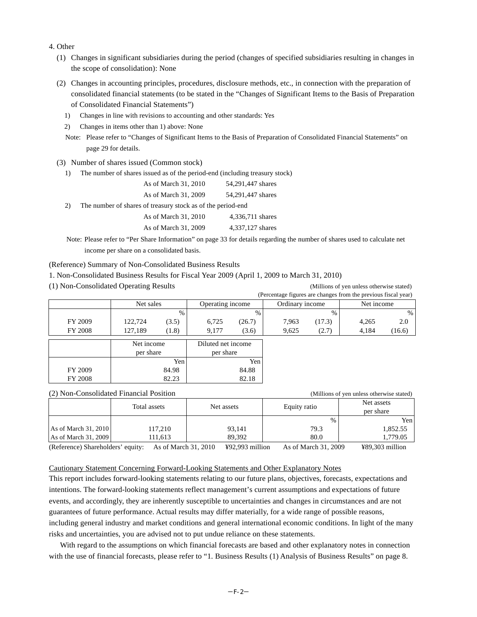- 4. Other
	- (1) Changes in significant subsidiaries during the period (changes of specified subsidiaries resulting in changes in the scope of consolidation): None
	- (2) Changes in accounting principles, procedures, disclosure methods, etc., in connection with the preparation of consolidated financial statements (to be stated in the "Changes of Significant Items to the Basis of Preparation of Consolidated Financial Statements")
		- 1) Changes in line with revisions to accounting and other standards: Yes
		- 2) Changes in items other than 1) above: None
		- Note: Please refer to "Changes of Significant Items to the Basis of Preparation of Consolidated Financial Statements" on page 29 for details.
	- (3) Number of shares issued (Common stock)
		- 1) The number of shares issued as of the period-end (including treasury stock)

|    | As of March 31, 2010                                        | 54,291,447 shares |
|----|-------------------------------------------------------------|-------------------|
|    | As of March 31, 2009                                        | 54,291,447 shares |
| 2) | The number of shares of treasury stock as of the period-end |                   |

| As of March 31, 2010 | 4,336,711 shares |
|----------------------|------------------|
| As of March 31, 2009 | 4,337,127 shares |

Note: Please refer to "Per Share Information" on page 33 for details regarding the number of shares used to calculate net income per share on a consolidated basis.

#### (Reference) Summary of Non-Consolidated Business Results

- 1. Non-Consolidated Business Results for Fiscal Year 2009 (April 1, 2009 to March 31, 2010)
- (1) Non-Consolidated Operating Results (Millions of yen unless otherwise stated)

|                |            |               |                    |        |                 |        | (Percentage figures are changes from the previous fiscal year) |        |
|----------------|------------|---------------|--------------------|--------|-----------------|--------|----------------------------------------------------------------|--------|
|                | Net sales  |               | Operating income   |        | Ordinary income |        | Net income                                                     |        |
|                |            | $\frac{0}{0}$ |                    | $\%$   |                 | %      |                                                                | $\%$   |
| FY 2009        | 122,724    | (3.5)         | 6,725              | (26.7) | 7,963           | (17.3) | 4,265                                                          | 2.0    |
| <b>FY 2008</b> | 127,189    | (1.8)         | 9,177              | (3.6)  | 9,625           | (2.7)  | 4,184                                                          | (16.6) |
|                | Net income |               | Diluted net income |        |                 |        |                                                                |        |
|                | per share  |               | per share          |        |                 |        |                                                                |        |
|                |            | Yen           |                    | Yen    |                 |        |                                                                |        |
| FY 2009        |            | 84.98         |                    | 84.88  |                 |        |                                                                |        |
| <b>FY 2008</b> |            | 82.23         |                    | 82.18  |                 |        |                                                                |        |

|                      | (2) Non-Consolidated Financial Position |            | (Millions of yen unless otherwise stated) |            |
|----------------------|-----------------------------------------|------------|-------------------------------------------|------------|
|                      | Total assets                            | Net assets | Equity ratio                              | Net assets |
|                      |                                         |            |                                           | per share  |
|                      |                                         |            | $\%$                                      | Yen l      |
| As of March 31, 2010 | 117.210                                 | 93.141     | 79.3                                      | 1,852.55   |
| As of March 31, 2009 | 111.613                                 | 89.392     | 80.0                                      | 1,779.05   |
|                      |                                         |            |                                           |            |

(Reference) Shareholders' equity: As of March 31, 2010 ¥92,993 million As of March 31, 2009 ¥89,303 million

#### Cautionary Statement Concerning Forward-Looking Statements and Other Explanatory Notes

This report includes forward-looking statements relating to our future plans, objectives, forecasts, expectations and intentions. The forward-looking statements reflect management's current assumptions and expectations of future events, and accordingly, they are inherently susceptible to uncertainties and changes in circumstances and are not guarantees of future performance. Actual results may differ materially, for a wide range of possible reasons, including general industry and market conditions and general international economic conditions. In light of the many risks and uncertainties, you are advised not to put undue reliance on these statements.

With regard to the assumptions on which financial forecasts are based and other explanatory notes in connection with the use of financial forecasts, please refer to "1. Business Results (1) Analysis of Business Results" on page 8.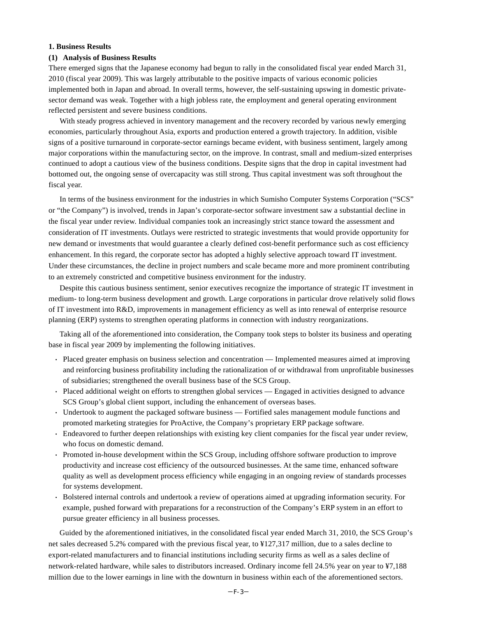## **1. Business Results**

#### **(1) Analysis of Business Results**

There emerged signs that the Japanese economy had begun to rally in the consolidated fiscal year ended March 31, 2010 (fiscal year 2009). This was largely attributable to the positive impacts of various economic policies implemented both in Japan and abroad. In overall terms, however, the self-sustaining upswing in domestic privatesector demand was weak. Together with a high jobless rate, the employment and general operating environment reflected persistent and severe business conditions.

With steady progress achieved in inventory management and the recovery recorded by various newly emerging economies, particularly throughout Asia, exports and production entered a growth trajectory. In addition, visible signs of a positive turnaround in corporate-sector earnings became evident, with business sentiment, largely among major corporations within the manufacturing sector, on the improve. In contrast, small and medium-sized enterprises continued to adopt a cautious view of the business conditions. Despite signs that the drop in capital investment had bottomed out, the ongoing sense of overcapacity was still strong. Thus capital investment was soft throughout the fiscal year.

In terms of the business environment for the industries in which Sumisho Computer Systems Corporation ("SCS" or "the Company") is involved, trends in Japan's corporate-sector software investment saw a substantial decline in the fiscal year under review. Individual companies took an increasingly strict stance toward the assessment and consideration of IT investments. Outlays were restricted to strategic investments that would provide opportunity for new demand or investments that would guarantee a clearly defined cost-benefit performance such as cost efficiency enhancement. In this regard, the corporate sector has adopted a highly selective approach toward IT investment. Under these circumstances, the decline in project numbers and scale became more and more prominent contributing to an extremely constricted and competitive business environment for the industry.

Despite this cautious business sentiment, senior executives recognize the importance of strategic IT investment in medium- to long-term business development and growth. Large corporations in particular drove relatively solid flows of IT investment into R&D, improvements in management efficiency as well as into renewal of enterprise resource planning (ERP) systems to strengthen operating platforms in connection with industry reorganizations.

Taking all of the aforementioned into consideration, the Company took steps to bolster its business and operating base in fiscal year 2009 by implementing the following initiatives.

- **·** Placed greater emphasis on business selection and concentration Implemented measures aimed at improving and reinforcing business profitability including the rationalization of or withdrawal from unprofitable businesses of subsidiaries; strengthened the overall business base of the SCS Group.
- **·** Placed additional weight on efforts to strengthen global services Engaged in activities designed to advance SCS Group's global client support, including the enhancement of overseas bases.
- **·** Undertook to augment the packaged software business Fortified sales management module functions and promoted marketing strategies for ProActive, the Company's proprietary ERP package software.
- **·** Endeavored to further deepen relationships with existing key client companies for the fiscal year under review, who focus on domestic demand.
- **·** Promoted in-house development within the SCS Group, including offshore software production to improve productivity and increase cost efficiency of the outsourced businesses. At the same time, enhanced software quality as well as development process efficiency while engaging in an ongoing review of standards processes for systems development.
- **·** Bolstered internal controls and undertook a review of operations aimed at upgrading information security. For example, pushed forward with preparations for a reconstruction of the Company's ERP system in an effort to pursue greater efficiency in all business processes.

Guided by the aforementioned initiatives, in the consolidated fiscal year ended March 31, 2010, the SCS Group's net sales decreased 5.2% compared with the previous fiscal year, to ¥127,317 million, due to a sales decline to export-related manufacturers and to financial institutions including security firms as well as a sales decline of network-related hardware, while sales to distributors increased. Ordinary income fell 24.5% year on year to ¥7,188 million due to the lower earnings in line with the downturn in business within each of the aforementioned sectors.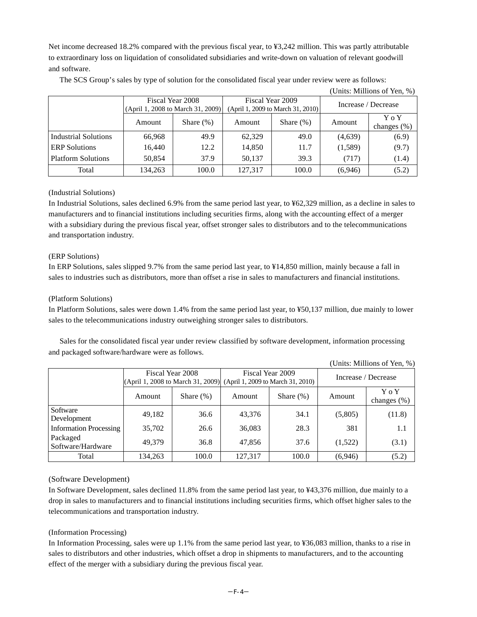Net income decreased 18.2% compared with the previous fiscal year, to ¥3,242 million. This was partly attributable to extraordinary loss on liquidation of consolidated subsidiaries and write-down on valuation of relevant goodwill and software.

|                             |         |                                      |         |                                   |                | (Units: Millions of Yen, %) |  |
|-----------------------------|---------|--------------------------------------|---------|-----------------------------------|----------------|-----------------------------|--|
|                             |         | Fiscal Year 2008<br>Fiscal Year 2009 |         | Increase / Decrease               |                |                             |  |
|                             |         | (April 1, 2008 to March 31, 2009)    |         | (April 1, 2009 to March 31, 2010) |                |                             |  |
|                             | Amount  | Share $(\%)$                         | Amount  | Share $(\%)$                      | Amount         | Y o Y                       |  |
|                             |         |                                      |         |                                   | changes $(\%)$ |                             |  |
| <b>Industrial Solutions</b> | 66,968  | 49.9                                 | 62,329  | 49.0                              | (4,639)        | (6.9)                       |  |
| <b>ERP</b> Solutions        | 16,440  | 12.2                                 | 14,850  | 11.7                              | (1,589)        | (9.7)                       |  |
| <b>Platform Solutions</b>   | 50,854  | 37.9                                 | 50,137  | 39.3                              | (717)          | (1.4)                       |  |
| Total                       | 134,263 | 100.0                                | 127,317 | 100.0                             | (6,946)        | (5.2)                       |  |

The SCS Group's sales by type of solution for the consolidated fiscal year under review were as follows:

# (Industrial Solutions)

In Industrial Solutions, sales declined 6.9% from the same period last year, to ¥62,329 million, as a decline in sales to manufacturers and to financial institutions including securities firms, along with the accounting effect of a merger with a subsidiary during the previous fiscal year, offset stronger sales to distributors and to the telecommunications and transportation industry.

# (ERP Solutions)

In ERP Solutions, sales slipped 9.7% from the same period last year, to ¥14,850 million, mainly because a fall in sales to industries such as distributors, more than offset a rise in sales to manufacturers and financial institutions.

## (Platform Solutions)

In Platform Solutions, sales were down 1.4% from the same period last year, to ¥50,137 million, due mainly to lower sales to the telecommunications industry outweighing stronger sales to distributors.

Sales for the consolidated fiscal year under review classified by software development, information processing and packaged software/hardware were as follows.

(Units: Millions of Yen, %)

| $\sim$ 0.11.00. 1.1.11.11.01.10 0.1 1.01.1, 70 |                                                           |              |                                                       |              |                     |                         |
|------------------------------------------------|-----------------------------------------------------------|--------------|-------------------------------------------------------|--------------|---------------------|-------------------------|
|                                                | Fiscal Year 2008<br>$ $ (April 1, 2008 to March 31, 2009) |              | Fiscal Year 2009<br>(April 1, 2009 to March 31, 2010) |              | Increase / Decrease |                         |
|                                                | Amount                                                    | Share $(\%)$ | Amount                                                | Share $(\%)$ | Amount              | Y o Y<br>changes $(\%)$ |
| Software<br>Development                        | 49,182                                                    | 36.6         | 43.376                                                | 34.1         | (5,805)             | (11.8)                  |
| <b>Information Processing</b>                  | 35,702                                                    | 26.6         | 36,083                                                | 28.3         | 381                 | 1.1                     |
| Packaged<br>Software/Hardware                  | 49.379                                                    | 36.8         | 47.856                                                | 37.6         | (1,522)             | (3.1)                   |
| Total                                          | 134,263                                                   | 100.0        | 127.317                                               | 100.0        | (6,946)             | (5.2)                   |

# (Software Development)

In Software Development, sales declined 11.8% from the same period last year, to ¥43,376 million, due mainly to a drop in sales to manufacturers and to financial institutions including securities firms, which offset higher sales to the telecommunications and transportation industry.

# (Information Processing)

In Information Processing, sales were up 1.1% from the same period last year, to ¥36,083 million, thanks to a rise in sales to distributors and other industries, which offset a drop in shipments to manufacturers, and to the accounting effect of the merger with a subsidiary during the previous fiscal year.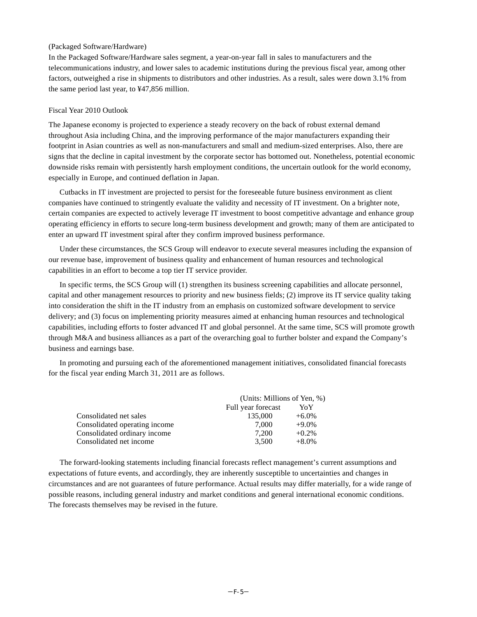#### (Packaged Software/Hardware)

In the Packaged Software/Hardware sales segment, a year-on-year fall in sales to manufacturers and the telecommunications industry, and lower sales to academic institutions during the previous fiscal year, among other factors, outweighed a rise in shipments to distributors and other industries. As a result, sales were down 3.1% from the same period last year, to ¥47,856 million.

#### Fiscal Year 2010 Outlook

The Japanese economy is projected to experience a steady recovery on the back of robust external demand throughout Asia including China, and the improving performance of the major manufacturers expanding their footprint in Asian countries as well as non-manufacturers and small and medium-sized enterprises. Also, there are signs that the decline in capital investment by the corporate sector has bottomed out. Nonetheless, potential economic downside risks remain with persistently harsh employment conditions, the uncertain outlook for the world economy, especially in Europe, and continued deflation in Japan.

Cutbacks in IT investment are projected to persist for the foreseeable future business environment as client companies have continued to stringently evaluate the validity and necessity of IT investment. On a brighter note, certain companies are expected to actively leverage IT investment to boost competitive advantage and enhance group operating efficiency in efforts to secure long-term business development and growth; many of them are anticipated to enter an upward IT investment spiral after they confirm improved business performance.

Under these circumstances, the SCS Group will endeavor to execute several measures including the expansion of our revenue base, improvement of business quality and enhancement of human resources and technological capabilities in an effort to become a top tier IT service provider.

In specific terms, the SCS Group will (1) strengthen its business screening capabilities and allocate personnel, capital and other management resources to priority and new business fields; (2) improve its IT service quality taking into consideration the shift in the IT industry from an emphasis on customized software development to service delivery; and (3) focus on implementing priority measures aimed at enhancing human resources and technological capabilities, including efforts to foster advanced IT and global personnel. At the same time, SCS will promote growth through M&A and business alliances as a part of the overarching goal to further bolster and expand the Company's business and earnings base.

In promoting and pursuing each of the aforementioned management initiatives, consolidated financial forecasts for the fiscal year ending March 31, 2011 are as follows.

|                               | (Units: Millions of Yen, %) |          |  |
|-------------------------------|-----------------------------|----------|--|
|                               | Full year forecast          | YoY      |  |
| Consolidated net sales        | 135,000                     | $+6.0\%$ |  |
| Consolidated operating income | 7.000                       | $+9.0\%$ |  |
| Consolidated ordinary income  | 7.200                       | $+0.2\%$ |  |
| Consolidated net income       | 3.500                       | $+8.0\%$ |  |

The forward-looking statements including financial forecasts reflect management's current assumptions and expectations of future events, and accordingly, they are inherently susceptible to uncertainties and changes in circumstances and are not guarantees of future performance. Actual results may differ materially, for a wide range of possible reasons, including general industry and market conditions and general international economic conditions. The forecasts themselves may be revised in the future.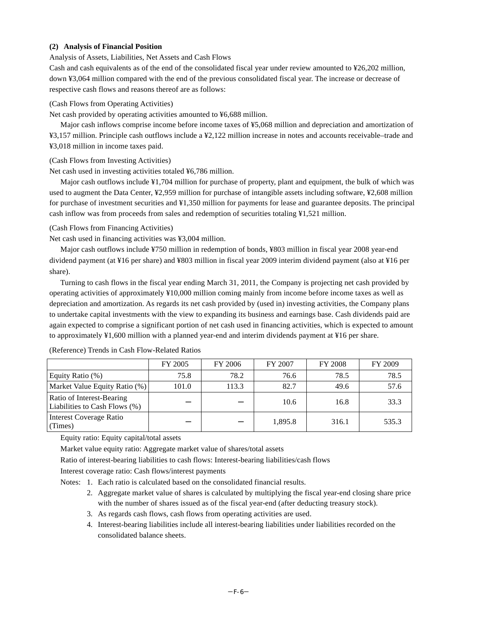## **(2) Analysis of Financial Position**

Analysis of Assets, Liabilities, Net Assets and Cash Flows

Cash and cash equivalents as of the end of the consolidated fiscal year under review amounted to ¥26,202 million, down ¥3,064 million compared with the end of the previous consolidated fiscal year. The increase or decrease of respective cash flows and reasons thereof are as follows:

## (Cash Flows from Operating Activities)

Net cash provided by operating activities amounted to ¥6,688 million.

Major cash inflows comprise income before income taxes of ¥5,068 million and depreciation and amortization of ¥3,157 million. Principle cash outflows include a ¥2,122 million increase in notes and accounts receivable–trade and ¥3,018 million in income taxes paid.

(Cash Flows from Investing Activities)

Net cash used in investing activities totaled ¥6,786 million.

Major cash outflows include ¥1,704 million for purchase of property, plant and equipment, the bulk of which was used to augment the Data Center, ¥2,959 million for purchase of intangible assets including software, ¥2,608 million for purchase of investment securities and ¥1,350 million for payments for lease and guarantee deposits. The principal cash inflow was from proceeds from sales and redemption of securities totaling ¥1,521 million.

(Cash Flows from Financing Activities)

Net cash used in financing activities was ¥3,004 million.

Major cash outflows include ¥750 million in redemption of bonds, ¥803 million in fiscal year 2008 year-end dividend payment (at ¥16 per share) and ¥803 million in fiscal year 2009 interim dividend payment (also at ¥16 per share).

Turning to cash flows in the fiscal year ending March 31, 2011, the Company is projecting net cash provided by operating activities of approximately ¥10,000 million coming mainly from income before income taxes as well as depreciation and amortization. As regards its net cash provided by (used in) investing activities, the Company plans to undertake capital investments with the view to expanding its business and earnings base. Cash dividends paid are again expected to comprise a significant portion of net cash used in financing activities, which is expected to amount to approximately ¥1,600 million with a planned year-end and interim dividends payment at ¥16 per share.

|                                                            | FY 2005 | FY 2006 | FY 2007 | <b>FY 2008</b> | FY 2009 |
|------------------------------------------------------------|---------|---------|---------|----------------|---------|
| Equity Ratio $(\%)$                                        | 75.8    | 78.2    | 76.6    | 78.5           | 78.5    |
| Market Value Equity Ratio (%)                              | 101.0   | 113.3   | 82.7    | 49.6           | 57.6    |
| Ratio of Interest-Bearing<br>Liabilities to Cash Flows (%) |         |         | 10.6    | 16.8           | 33.3    |
| <b>Interest Coverage Ratio</b><br>(Times)                  |         |         | 1,895.8 | 316.1          | 535.3   |

(Reference) Trends in Cash Flow-Related Ratios

Equity ratio: Equity capital/total assets

Market value equity ratio: Aggregate market value of shares/total assets

Ratio of interest-bearing liabilities to cash flows: Interest-bearing liabilities/cash flows

Interest coverage ratio: Cash flows/interest payments

Notes: 1. Each ratio is calculated based on the consolidated financial results.

- 2. Aggregate market value of shares is calculated by multiplying the fiscal year-end closing share price with the number of shares issued as of the fiscal year-end (after deducting treasury stock).
- 3. As regards cash flows, cash flows from operating activities are used.
- 4. Interest-bearing liabilities include all interest-bearing liabilities under liabilities recorded on the consolidated balance sheets.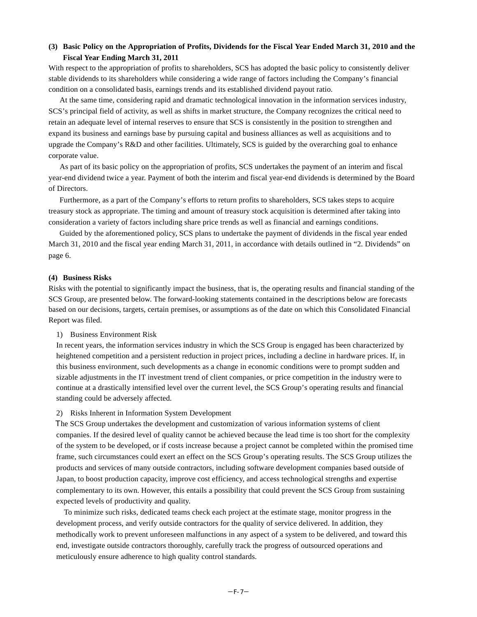# **(3) Basic Policy on the Appropriation of Profits, Dividends for the Fiscal Year Ended March 31, 2010 and the Fiscal Year Ending March 31, 2011**

With respect to the appropriation of profits to shareholders, SCS has adopted the basic policy to consistently deliver stable dividends to its shareholders while considering a wide range of factors including the Company's financial condition on a consolidated basis, earnings trends and its established dividend payout ratio.

At the same time, considering rapid and dramatic technological innovation in the information services industry, SCS's principal field of activity, as well as shifts in market structure, the Company recognizes the critical need to retain an adequate level of internal reserves to ensure that SCS is consistently in the position to strengthen and expand its business and earnings base by pursuing capital and business alliances as well as acquisitions and to upgrade the Company's R&D and other facilities. Ultimately, SCS is guided by the overarching goal to enhance corporate value.

As part of its basic policy on the appropriation of profits, SCS undertakes the payment of an interim and fiscal year-end dividend twice a year. Payment of both the interim and fiscal year-end dividends is determined by the Board of Directors.

Furthermore, as a part of the Company's efforts to return profits to shareholders, SCS takes steps to acquire treasury stock as appropriate. The timing and amount of treasury stock acquisition is determined after taking into consideration a variety of factors including share price trends as well as financial and earnings conditions.

Guided by the aforementioned policy, SCS plans to undertake the payment of dividends in the fiscal year ended March 31, 2010 and the fiscal year ending March 31, 2011, in accordance with details outlined in "2. Dividends" on page 6.

#### **(4) Business Risks**

Risks with the potential to significantly impact the business, that is, the operating results and financial standing of the SCS Group, are presented below. The forward-looking statements contained in the descriptions below are forecasts based on our decisions, targets, certain premises, or assumptions as of the date on which this Consolidated Financial Report was filed.

#### 1) Business Environment Risk

In recent years, the information services industry in which the SCS Group is engaged has been characterized by heightened competition and a persistent reduction in project prices, including a decline in hardware prices. If, in this business environment, such developments as a change in economic conditions were to prompt sudden and sizable adjustments in the IT investment trend of client companies, or price competition in the industry were to continue at a drastically intensified level over the current level, the SCS Group's operating results and financial standing could be adversely affected.

#### 2) Risks Inherent in Information System Development

The SCS Group undertakes the development and customization of various information systems of client companies. If the desired level of quality cannot be achieved because the lead time is too short for the complexity of the system to be developed, or if costs increase because a project cannot be completed within the promised time frame, such circumstances could exert an effect on the SCS Group's operating results. The SCS Group utilizes the products and services of many outside contractors, including software development companies based outside of Japan, to boost production capacity, improve cost efficiency, and access technological strengths and expertise complementary to its own. However, this entails a possibility that could prevent the SCS Group from sustaining expected levels of productivity and quality.

To minimize such risks, dedicated teams check each project at the estimate stage, monitor progress in the development process, and verify outside contractors for the quality of service delivered. In addition, they methodically work to prevent unforeseen malfunctions in any aspect of a system to be delivered, and toward this end, investigate outside contractors thoroughly, carefully track the progress of outsourced operations and meticulously ensure adherence to high quality control standards.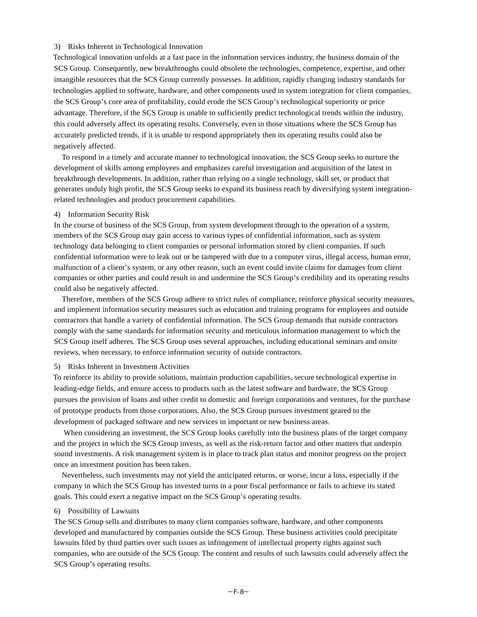#### 3) Risks Inherent in Technological Innovation

Technological innovation unfolds at a fast pace in the information services industry, the business domain of the SCS Group. Consequently, new breakthroughs could obsolete the technologies, competence, expertise, and other intangible resources that the SCS Group currently possesses. In addition, rapidly changing industry standards for technologies applied to software, hardware, and other components used in system integration for client companies, the SCS Group's core area of profitability, could erode the SCS Group's technological superiority or price advantage. Therefore, if the SCS Group is unable to sufficiently predict technological trends within the industry, this could adversely affect its operating results. Conversely, even in those situations where the SCS Group has accurately predicted trends, if it is unable to respond appropriately then its operating results could also be negatively affected.

To respond in a timely and accurate manner to technological innovation, the SCS Group seeks to nurture the development of skills among employees and emphasizes careful investigation and acquisition of the latest in breakthrough developments. In addition, rather than relying on a single technology, skill set, or product that generates unduly high profit, the SCS Group seeks to expand its business reach by diversifying system integrationrelated technologies and product procurement capabilities.

#### 4) Information Security Risk

In the course of business of the SCS Group, from system development through to the operation of a system, members of the SCS Group may gain access to various types of confidential information, such as system technology data belonging to client companies or personal information stored by client companies. If such confidential information were to leak out or be tampered with due to a computer virus, illegal access, human error, malfunction of a client's system, or any other reason, such an event could invite claims for damages from client companies or other parties and could result in and undermine the SCS Group's credibility and its operating results could also be negatively affected.

Therefore, members of the SCS Group adhere to strict rules of compliance, reinforce physical security measures, and implement information security measures such as education and training programs for employees and outside contractors that handle a variety of confidential information. The SCS Group demands that outside contractors comply with the same standards for information security and meticulous information management to which the SCS Group itself adheres. The SCS Group uses several approaches, including educational seminars and onsite reviews, when necessary, to enforce information security of outside contractors.

#### 5) Risks Inherent in Investment Activities

To reinforce its ability to provide solutions, maintain production capabilities, secure technological expertise in leading-edge fields, and ensure access to products such as the latest software and hardware, the SCS Group pursues the provision of loans and other credit to domestic and foreign corporations and ventures, for the purchase of prototype products from those corporations. Also, the SCS Group pursues investment geared to the development of packaged software and new services in important or new business areas.

When considering an investment, the SCS Group looks carefully into the business plans of the target company and the project in which the SCS Group invests, as well as the risk-return factor and other matters that underpin sound investments. A risk management system is in place to track plan status and monitor progress on the project once an investment position has been taken.

Nevertheless, such investments may not yield the anticipated returns, or worse, incur a loss, especially if the company in which the SCS Group has invested turns in a poor fiscal performance or fails to achieve its stated goals. This could exert a negative impact on the SCS Group's operating results.

# 6) Possibility of Lawsuits

The SCS Group sells and distributes to many client companies software, hardware, and other components developed and manufactured by companies outside the SCS Group. These business activities could precipitate lawsuits filed by third parties over such issues as infringement of intellectual property rights against such companies, who are outside of the SCS Group. The content and results of such lawsuits could adversely affect the SCS Group's operating results.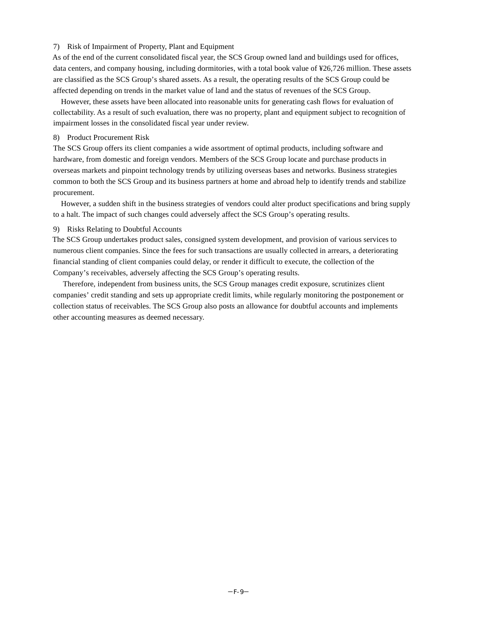#### 7) Risk of Impairment of Property, Plant and Equipment

As of the end of the current consolidated fiscal year, the SCS Group owned land and buildings used for offices, data centers, and company housing, including dormitories, with a total book value of ¥26,726 million. These assets are classified as the SCS Group's shared assets. As a result, the operating results of the SCS Group could be affected depending on trends in the market value of land and the status of revenues of the SCS Group.

However, these assets have been allocated into reasonable units for generating cash flows for evaluation of collectability. As a result of such evaluation, there was no property, plant and equipment subject to recognition of impairment losses in the consolidated fiscal year under review.

#### 8) Product Procurement Risk

The SCS Group offers its client companies a wide assortment of optimal products, including software and hardware, from domestic and foreign vendors. Members of the SCS Group locate and purchase products in overseas markets and pinpoint technology trends by utilizing overseas bases and networks. Business strategies common to both the SCS Group and its business partners at home and abroad help to identify trends and stabilize procurement.

However, a sudden shift in the business strategies of vendors could alter product specifications and bring supply to a halt. The impact of such changes could adversely affect the SCS Group's operating results.

#### 9) Risks Relating to Doubtful Accounts

The SCS Group undertakes product sales, consigned system development, and provision of various services to numerous client companies. Since the fees for such transactions are usually collected in arrears, a deteriorating financial standing of client companies could delay, or render it difficult to execute, the collection of the Company's receivables, adversely affecting the SCS Group's operating results.

Therefore, independent from business units, the SCS Group manages credit exposure, scrutinizes client companies' credit standing and sets up appropriate credit limits, while regularly monitoring the postponement or collection status of receivables. The SCS Group also posts an allowance for doubtful accounts and implements other accounting measures as deemed necessary.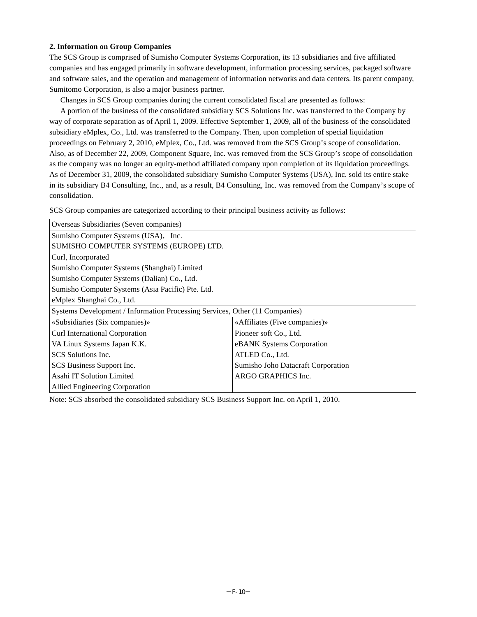## **2. Information on Group Companies**

The SCS Group is comprised of Sumisho Computer Systems Corporation, its 13 subsidiaries and five affiliated companies and has engaged primarily in software development, information processing services, packaged software and software sales, and the operation and management of information networks and data centers. Its parent company, Sumitomo Corporation, is also a major business partner.

Changes in SCS Group companies during the current consolidated fiscal are presented as follows:

A portion of the business of the consolidated subsidiary SCS Solutions Inc. was transferred to the Company by way of corporate separation as of April 1, 2009. Effective September 1, 2009, all of the business of the consolidated subsidiary eMplex, Co., Ltd. was transferred to the Company. Then, upon completion of special liquidation proceedings on February 2, 2010, eMplex, Co., Ltd. was removed from the SCS Group's scope of consolidation. Also, as of December 22, 2009, Component Square, Inc. was removed from the SCS Group's scope of consolidation as the company was no longer an equity-method affiliated company upon completion of its liquidation proceedings. As of December 31, 2009, the consolidated subsidiary Sumisho Computer Systems (USA), Inc. sold its entire stake in its subsidiary B4 Consulting, Inc., and, as a result, B4 Consulting, Inc. was removed from the Company's scope of consolidation.

SCS Group companies are categorized according to their principal business activity as follows:

| Overseas Subsidiaries (Seven companies)                                     |                                    |  |  |
|-----------------------------------------------------------------------------|------------------------------------|--|--|
| Sumisho Computer Systems (USA), Inc.                                        |                                    |  |  |
| SUMISHO COMPUTER SYSTEMS (EUROPE) LTD.                                      |                                    |  |  |
| Curl, Incorporated                                                          |                                    |  |  |
| Sumisho Computer Systems (Shanghai) Limited                                 |                                    |  |  |
| Sumisho Computer Systems (Dalian) Co., Ltd.                                 |                                    |  |  |
| Sumisho Computer Systems (Asia Pacific) Pte. Ltd.                           |                                    |  |  |
| eMplex Shanghai Co., Ltd.                                                   |                                    |  |  |
| Systems Development / Information Processing Services, Other (11 Companies) |                                    |  |  |
| «Subsidiaries (Six companies)»                                              | «Affiliates (Five companies)»      |  |  |
| Curl International Corporation                                              | Pioneer soft Co., Ltd.             |  |  |
| VA Linux Systems Japan K.K.                                                 | eBANK Systems Corporation          |  |  |
| SCS Solutions Inc.                                                          | ATLED Co., Ltd.                    |  |  |
| SCS Business Support Inc.                                                   | Sumisho Joho Datacraft Corporation |  |  |
| Asahi IT Solution Limited                                                   | ARGO GRAPHICS Inc.                 |  |  |
| Allied Engineering Corporation                                              |                                    |  |  |

Note: SCS absorbed the consolidated subsidiary SCS Business Support Inc. on April 1, 2010.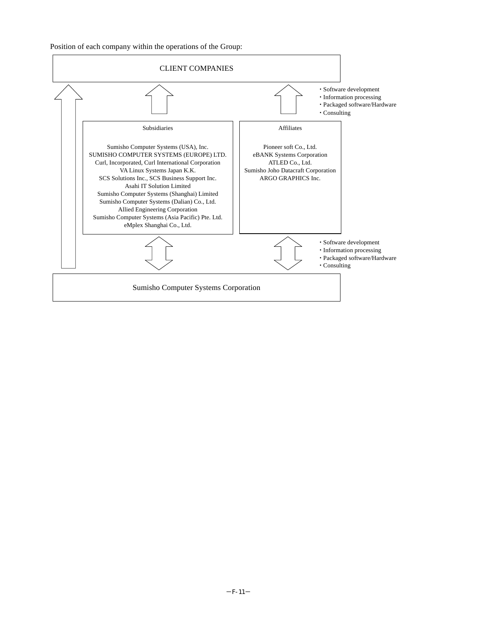Position of each company within the operations of the Group:

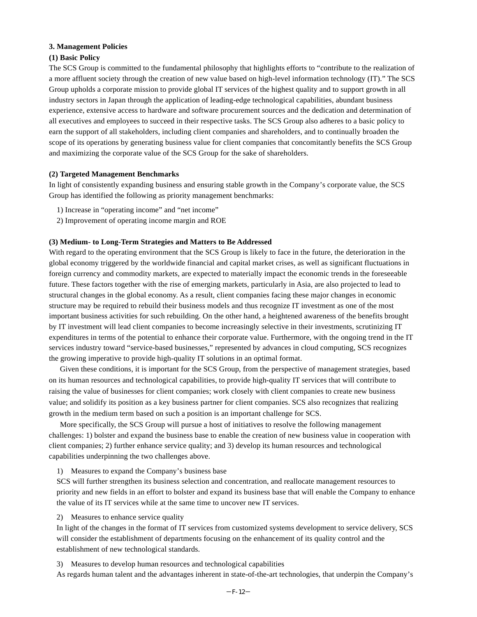## **3. Management Policies**

# **(1) Basic Policy**

The SCS Group is committed to the fundamental philosophy that highlights efforts to "contribute to the realization of a more affluent society through the creation of new value based on high-level information technology (IT)." The SCS Group upholds a corporate mission to provide global IT services of the highest quality and to support growth in all industry sectors in Japan through the application of leading-edge technological capabilities, abundant business experience, extensive access to hardware and software procurement sources and the dedication and determination of all executives and employees to succeed in their respective tasks. The SCS Group also adheres to a basic policy to earn the support of all stakeholders, including client companies and shareholders, and to continually broaden the scope of its operations by generating business value for client companies that concomitantly benefits the SCS Group and maximizing the corporate value of the SCS Group for the sake of shareholders.

# **(2) Targeted Management Benchmarks**

In light of consistently expanding business and ensuring stable growth in the Company's corporate value, the SCS Group has identified the following as priority management benchmarks:

- 1) Increase in "operating income" and "net income"
- 2) Improvement of operating income margin and ROE

## **(3) Medium- to Long-Term Strategies and Matters to Be Addressed**

With regard to the operating environment that the SCS Group is likely to face in the future, the deterioration in the global economy triggered by the worldwide financial and capital market crises, as well as significant fluctuations in foreign currency and commodity markets, are expected to materially impact the economic trends in the foreseeable future. These factors together with the rise of emerging markets, particularly in Asia, are also projected to lead to structural changes in the global economy. As a result, client companies facing these major changes in economic structure may be required to rebuild their business models and thus recognize IT investment as one of the most important business activities for such rebuilding. On the other hand, a heightened awareness of the benefits brought by IT investment will lead client companies to become increasingly selective in their investments, scrutinizing IT expenditures in terms of the potential to enhance their corporate value. Furthermore, with the ongoing trend in the IT services industry toward "service-based businesses," represented by advances in cloud computing, SCS recognizes the growing imperative to provide high-quality IT solutions in an optimal format.

Given these conditions, it is important for the SCS Group, from the perspective of management strategies, based on its human resources and technological capabilities, to provide high-quality IT services that will contribute to raising the value of businesses for client companies; work closely with client companies to create new business value; and solidify its position as a key business partner for client companies. SCS also recognizes that realizing growth in the medium term based on such a position is an important challenge for SCS.

More specifically, the SCS Group will pursue a host of initiatives to resolve the following management challenges: 1) bolster and expand the business base to enable the creation of new business value in cooperation with client companies; 2) further enhance service quality; and 3) develop its human resources and technological capabilities underpinning the two challenges above.

1) Measures to expand the Company's business base

SCS will further strengthen its business selection and concentration, and reallocate management resources to priority and new fields in an effort to bolster and expand its business base that will enable the Company to enhance the value of its IT services while at the same time to uncover new IT services.

2) Measures to enhance service quality

In light of the changes in the format of IT services from customized systems development to service delivery, SCS will consider the establishment of departments focusing on the enhancement of its quality control and the establishment of new technological standards.

3) Measures to develop human resources and technological capabilities

As regards human talent and the advantages inherent in state-of-the-art technologies, that underpin the Company's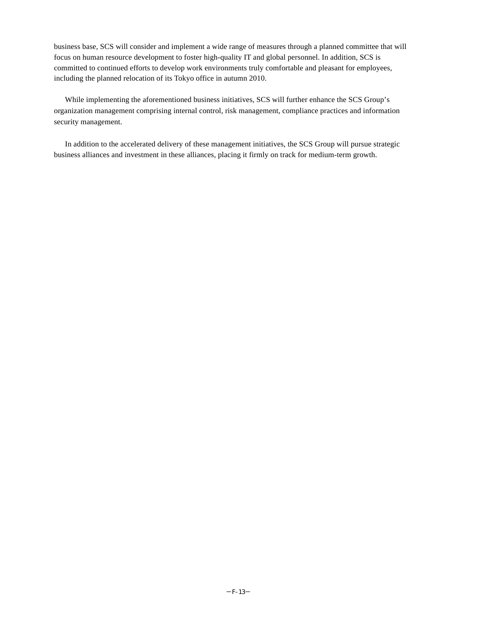business base, SCS will consider and implement a wide range of measures through a planned committee that will focus on human resource development to foster high-quality IT and global personnel. In addition, SCS is committed to continued efforts to develop work environments truly comfortable and pleasant for employees, including the planned relocation of its Tokyo office in autumn 2010.

While implementing the aforementioned business initiatives, SCS will further enhance the SCS Group's organization management comprising internal control, risk management, compliance practices and information security management.

In addition to the accelerated delivery of these management initiatives, the SCS Group will pursue strategic business alliances and investment in these alliances, placing it firmly on track for medium-term growth.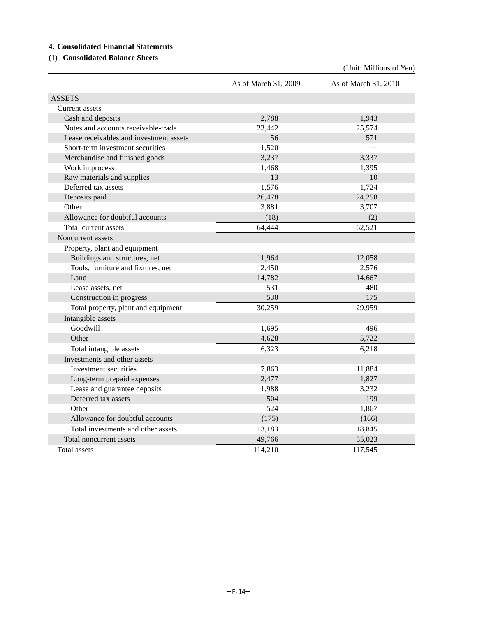# **4. Consolidated Financial Statements**

# **(1) Consolidated Balance Sheets**

(Unit: Millions of Yen)

|                                         | As of March 31, 2009 | As of March 31, 2010 |
|-----------------------------------------|----------------------|----------------------|
| <b>ASSETS</b>                           |                      |                      |
| Current assets                          |                      |                      |
| Cash and deposits                       | 2,788                | 1,943                |
| Notes and accounts receivable-trade     | 23,442               | 25,574               |
| Lease receivables and investment assets | 56                   | 571                  |
| Short-term investment securities        | 1,520                |                      |
| Merchandise and finished goods          | 3,237                | 3,337                |
| Work in process                         | 1,468                | 1,395                |
| Raw materials and supplies              | 13                   | 10                   |
| Deferred tax assets                     | 1,576                | 1,724                |
| Deposits paid                           | 26,478               | 24,258               |
| Other                                   | 3,881                | 3,707                |
| Allowance for doubtful accounts         | (18)                 | (2)                  |
| Total current assets                    | 64,444               | 62,521               |
| Noncurrent assets                       |                      |                      |
| Property, plant and equipment           |                      |                      |
| Buildings and structures, net           | 11,964               | 12,058               |
| Tools, furniture and fixtures, net      | 2,450                | 2,576                |
| Land                                    | 14,782               | 14,667               |
| Lease assets, net                       | 531                  | 480                  |
| Construction in progress                | 530                  | 175                  |
| Total property, plant and equipment     | 30,259               | 29,959               |
| Intangible assets                       |                      |                      |
| Goodwill                                | 1,695                | 496                  |
| Other                                   | 4,628                | 5,722                |
| Total intangible assets                 | 6,323                | 6,218                |
| Investments and other assets            |                      |                      |
| Investment securities                   | 7,863                | 11,884               |
| Long-term prepaid expenses              | 2,477                | 1,827                |
| Lease and guarantee deposits            | 1,988                | 3,232                |
| Deferred tax assets                     | 504                  | 199                  |
| Other                                   | 524                  | 1,867                |
| Allowance for doubtful accounts         | (175)                | (166)                |
| Total investments and other assets      | 13,183               | 18,845               |
| Total noncurrent assets                 | 49,766               | 55,023               |
| Total assets                            | 114,210              | 117,545              |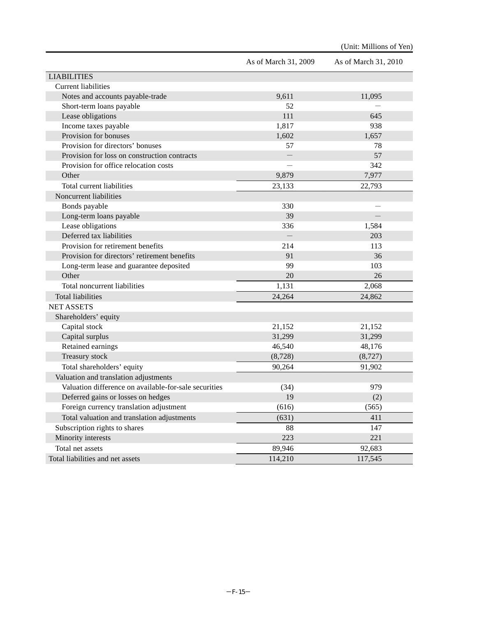|                                                       | As of March 31, 2009 | As of March 31, 2010 |
|-------------------------------------------------------|----------------------|----------------------|
| <b>LIABILITIES</b>                                    |                      |                      |
| <b>Current liabilities</b>                            |                      |                      |
| Notes and accounts payable-trade                      | 9,611                | 11,095               |
| Short-term loans payable                              | 52                   |                      |
| Lease obligations                                     | 111                  | 645                  |
| Income taxes payable                                  | 1,817                | 938                  |
| Provision for bonuses                                 | 1,602                | 1,657                |
| Provision for directors' bonuses                      | 57                   | 78                   |
| Provision for loss on construction contracts          |                      | 57                   |
| Provision for office relocation costs                 |                      | 342                  |
| Other                                                 | 9,879                | 7,977                |
| Total current liabilities                             | 23,133               | 22,793               |
| Noncurrent liabilities                                |                      |                      |
| Bonds payable                                         | 330                  |                      |
| Long-term loans payable                               | 39                   |                      |
| Lease obligations                                     | 336                  | 1,584                |
| Deferred tax liabilities                              |                      | 203                  |
| Provision for retirement benefits                     | 214                  | 113                  |
| Provision for directors' retirement benefits          | 91                   | 36                   |
| Long-term lease and guarantee deposited               | 99                   | 103                  |
| Other                                                 | 20                   | 26                   |
| Total noncurrent liabilities                          | 1,131                | 2,068                |
| <b>Total liabilities</b>                              | 24,264               | 24,862               |
| <b>NET ASSETS</b>                                     |                      |                      |
| Shareholders' equity                                  |                      |                      |
| Capital stock                                         | 21,152               | 21,152               |
| Capital surplus                                       | 31,299               | 31,299               |
| Retained earnings                                     | 46,540               | 48,176               |
| Treasury stock                                        | (8,728)              | (8,727)              |
| Total shareholders' equity                            | 90,264               | 91,902               |
| Valuation and translation adjustments                 |                      |                      |
| Valuation difference on available-for-sale securities | (34)                 | 979                  |
| Deferred gains or losses on hedges                    | 19                   | (2)                  |
| Foreign currency translation adjustment               | (616)                | (565)                |
| Total valuation and translation adjustments           | (631)                | 411                  |
| Subscription rights to shares                         | 88                   | 147                  |
| Minority interests                                    | 223                  | 221                  |
| Total net assets                                      | 89,946               | 92,683               |
| Total liabilities and net assets                      | 114,210              | 117,545              |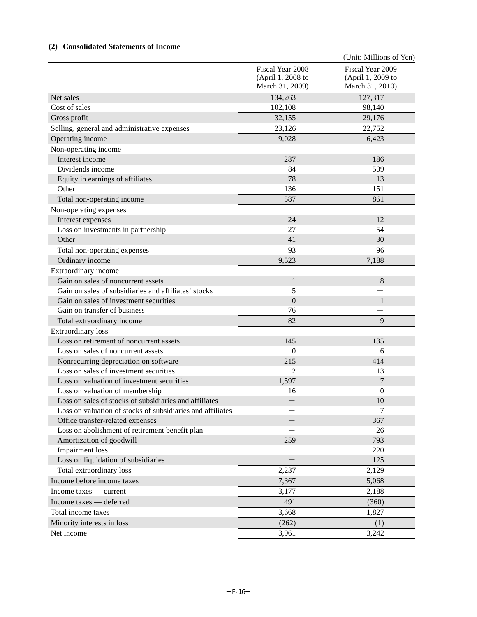# **(2) Consolidated Statements of Income**

|                                                            |                                                          | (Unit: Millions of Yen)                                  |
|------------------------------------------------------------|----------------------------------------------------------|----------------------------------------------------------|
|                                                            | Fiscal Year 2008<br>(April 1, 2008 to<br>March 31, 2009) | Fiscal Year 2009<br>(April 1, 2009 to<br>March 31, 2010) |
| Net sales                                                  | 134,263                                                  | 127,317                                                  |
| Cost of sales                                              | 102,108                                                  | 98,140                                                   |
| Gross profit                                               | 32,155                                                   | 29,176                                                   |
| Selling, general and administrative expenses               | 23,126                                                   | 22,752                                                   |
| Operating income                                           | 9,028                                                    | 6,423                                                    |
| Non-operating income                                       |                                                          |                                                          |
| Interest income                                            | 287                                                      | 186                                                      |
| Dividends income                                           | 84                                                       | 509                                                      |
| Equity in earnings of affiliates                           | 78                                                       | 13                                                       |
| Other                                                      | 136                                                      | 151                                                      |
| Total non-operating income                                 | 587                                                      | 861                                                      |
| Non-operating expenses                                     |                                                          |                                                          |
| Interest expenses                                          | 24                                                       | 12                                                       |
| Loss on investments in partnership                         | 27                                                       | 54                                                       |
| Other                                                      | 41                                                       | 30                                                       |
| Total non-operating expenses                               | 93                                                       | 96                                                       |
| Ordinary income                                            | 9,523                                                    | 7,188                                                    |
| Extraordinary income                                       |                                                          |                                                          |
| Gain on sales of noncurrent assets                         | $\mathbf{1}$                                             | 8                                                        |
| Gain on sales of subsidiaries and affiliates' stocks       | 5                                                        |                                                          |
| Gain on sales of investment securities                     | $\overline{0}$                                           | $\mathbf{1}$                                             |
| Gain on transfer of business                               | 76                                                       |                                                          |
| Total extraordinary income                                 | 82                                                       | 9                                                        |
| <b>Extraordinary</b> loss                                  |                                                          |                                                          |
| Loss on retirement of noncurrent assets                    | 145                                                      | 135                                                      |
| Loss on sales of noncurrent assets                         | $\overline{0}$                                           | 6                                                        |
| Nonrecurring depreciation on software                      | 215                                                      | 414                                                      |
| Loss on sales of investment securities                     | $\overline{c}$                                           | 13                                                       |
| Loss on valuation of investment securities                 | 1,597                                                    | 7                                                        |
| Loss on valuation of membership                            | 16                                                       | $\overline{0}$                                           |
| Loss on sales of stocks of subsidiaries and affiliates     |                                                          | 10                                                       |
| Loss on valuation of stocks of subsidiaries and affiliates |                                                          | 7                                                        |
| Office transfer-related expenses                           |                                                          | 367                                                      |
| Loss on abolishment of retirement benefit plan             |                                                          | 26                                                       |
| Amortization of goodwill                                   | 259                                                      | 793                                                      |
| <b>Impairment</b> loss                                     |                                                          | 220                                                      |
| Loss on liquidation of subsidiaries                        |                                                          | 125                                                      |
| Total extraordinary loss                                   | 2,237                                                    | 2,129                                                    |
| Income before income taxes                                 | 7,367                                                    | 5,068                                                    |
| Income taxes — current                                     | 3,177                                                    | 2,188                                                    |
| Income taxes - deferred                                    | 491                                                      | (360)                                                    |
| Total income taxes                                         | 3,668                                                    | 1,827                                                    |
| Minority interests in loss                                 | (262)                                                    | (1)                                                      |
| Net income                                                 | 3,961                                                    | 3,242                                                    |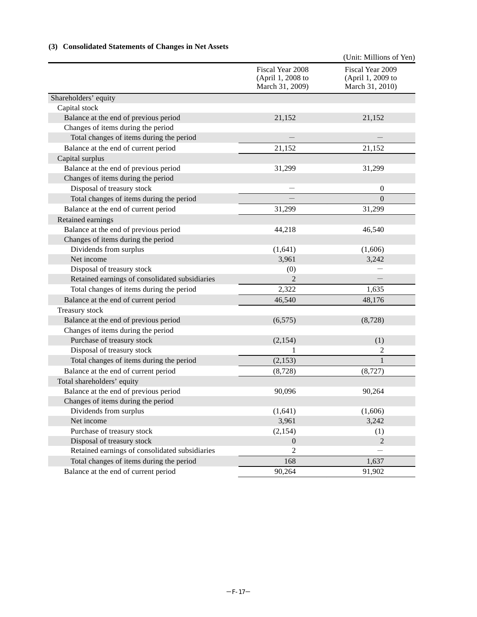# **(3) Consolidated Statements of Changes in Net Assets**

|                                                |                                                          | (Unit: Millions of Yen)                                  |
|------------------------------------------------|----------------------------------------------------------|----------------------------------------------------------|
|                                                | Fiscal Year 2008<br>(April 1, 2008 to<br>March 31, 2009) | Fiscal Year 2009<br>(April 1, 2009 to<br>March 31, 2010) |
| Shareholders' equity                           |                                                          |                                                          |
| Capital stock                                  |                                                          |                                                          |
| Balance at the end of previous period          | 21,152                                                   | 21,152                                                   |
| Changes of items during the period             |                                                          |                                                          |
| Total changes of items during the period       |                                                          |                                                          |
| Balance at the end of current period           | 21,152                                                   | 21,152                                                   |
| Capital surplus                                |                                                          |                                                          |
| Balance at the end of previous period          | 31,299                                                   | 31,299                                                   |
| Changes of items during the period             |                                                          |                                                          |
| Disposal of treasury stock                     |                                                          | $\boldsymbol{0}$                                         |
| Total changes of items during the period       |                                                          | $\overline{0}$                                           |
| Balance at the end of current period           | 31,299                                                   | 31,299                                                   |
| Retained earnings                              |                                                          |                                                          |
| Balance at the end of previous period          | 44,218                                                   | 46,540                                                   |
| Changes of items during the period             |                                                          |                                                          |
| Dividends from surplus                         | (1,641)                                                  | (1,606)                                                  |
| Net income                                     | 3,961                                                    | 3,242                                                    |
| Disposal of treasury stock                     | (0)                                                      |                                                          |
| Retained earnings of consolidated subsidiaries | 2                                                        |                                                          |
| Total changes of items during the period       | 2,322                                                    | 1,635                                                    |
| Balance at the end of current period           | 46,540                                                   | 48,176                                                   |
| Treasury stock                                 |                                                          |                                                          |
| Balance at the end of previous period          | (6, 575)                                                 | (8,728)                                                  |
| Changes of items during the period             |                                                          |                                                          |
| Purchase of treasury stock                     | (2, 154)                                                 | (1)                                                      |
| Disposal of treasury stock                     | 1                                                        | 2                                                        |
| Total changes of items during the period       | (2, 153)                                                 | 1                                                        |
| Balance at the end of current period           | (8,728)                                                  | (8, 727)                                                 |
| Total shareholders' equity                     |                                                          |                                                          |
| Balance at the end of previous period          | 90,096                                                   | 90,264                                                   |
| Changes of items during the period             |                                                          |                                                          |
| Dividends from surplus                         | (1,641)                                                  | (1,606)                                                  |
| Net income                                     | 3,961                                                    | 3,242                                                    |
| Purchase of treasury stock                     | (2, 154)                                                 | (1)                                                      |
| Disposal of treasury stock                     | $\overline{0}$                                           | $\overline{2}$                                           |
| Retained earnings of consolidated subsidiaries | $\mathfrak{2}$                                           |                                                          |
| Total changes of items during the period       | 168                                                      | 1,637                                                    |
| Balance at the end of current period           | 90,264                                                   | 91,902                                                   |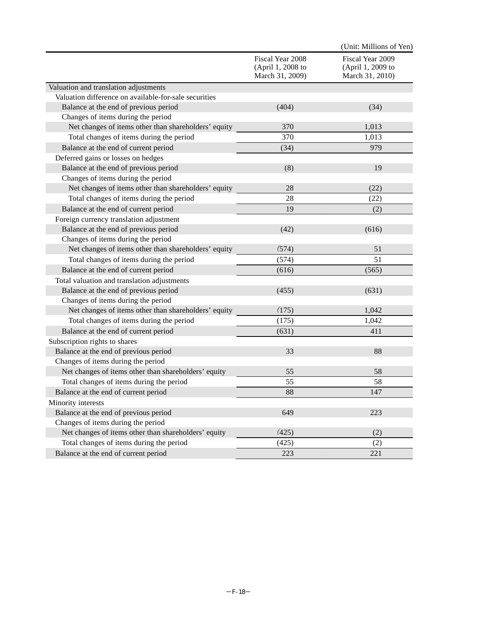|                                                       |                                                          | (Unit: Millions of Yen)                                  |
|-------------------------------------------------------|----------------------------------------------------------|----------------------------------------------------------|
|                                                       | Fiscal Year 2008<br>(April 1, 2008 to<br>March 31, 2009) | Fiscal Year 2009<br>(April 1, 2009 to<br>March 31, 2010) |
| Valuation and translation adjustments                 |                                                          |                                                          |
| Valuation difference on available-for-sale securities |                                                          |                                                          |
| Balance at the end of previous period                 | (404)                                                    | (34)                                                     |
| Changes of items during the period                    |                                                          |                                                          |
| Net changes of items other than shareholders' equity  | 370                                                      | 1,013                                                    |
| Total changes of items during the period              | 370                                                      | 1,013                                                    |
| Balance at the end of current period                  | (34)                                                     | 979                                                      |
| Deferred gains or losses on hedges                    |                                                          |                                                          |
| Balance at the end of previous period                 | (8)                                                      | 19                                                       |
| Changes of items during the period                    |                                                          |                                                          |
| Net changes of items other than shareholders' equity  | 28                                                       | (22)                                                     |
| Total changes of items during the period              | 28                                                       | (22)                                                     |
| Balance at the end of current period                  | 19                                                       | (2)                                                      |
| Foreign currency translation adjustment               |                                                          |                                                          |
| Balance at the end of previous period                 | (42)                                                     | (616)                                                    |
| Changes of items during the period                    |                                                          |                                                          |
| Net changes of items other than shareholders' equity  | (574)                                                    | 51                                                       |
| Total changes of items during the period              | (574)                                                    | 51                                                       |
| Balance at the end of current period                  | (616)                                                    | (565)                                                    |
| Total valuation and translation adjustments           |                                                          |                                                          |
| Balance at the end of previous period                 | (455)                                                    | (631)                                                    |
| Changes of items during the period                    |                                                          |                                                          |
| Net changes of items other than shareholders' equity  | (175)                                                    | 1,042                                                    |
| Total changes of items during the period              | (175)                                                    | 1,042                                                    |
| Balance at the end of current period                  | (631)                                                    | 411                                                      |
| Subscription rights to shares                         |                                                          |                                                          |
| Balance at the end of previous period                 | 33                                                       | 88                                                       |
| Changes of items during the period                    |                                                          |                                                          |
| Net changes of items other than shareholders' equity  | 55                                                       | 58                                                       |
| Total changes of items during the period              | 55                                                       | 58                                                       |
| Balance at the end of current period                  | 88                                                       | 147                                                      |
| Minority interests                                    |                                                          |                                                          |
| Balance at the end of previous period                 | 649                                                      | 223                                                      |
| Changes of items during the period                    |                                                          |                                                          |
| Net changes of items other than shareholders' equity  | (425)                                                    | (2)                                                      |
| Total changes of items during the period              | (425)                                                    | (2)                                                      |
| Balance at the end of current period                  | 223                                                      | 221                                                      |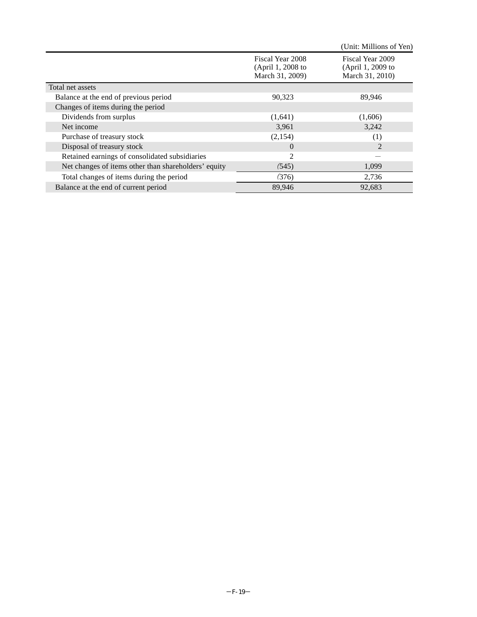|                                                      |                                                          | (Unit: Millions of Yen)                                  |
|------------------------------------------------------|----------------------------------------------------------|----------------------------------------------------------|
|                                                      | Fiscal Year 2008<br>(April 1, 2008 to<br>March 31, 2009) | Fiscal Year 2009<br>(April 1, 2009 to<br>March 31, 2010) |
| Total net assets                                     |                                                          |                                                          |
| Balance at the end of previous period                | 90,323                                                   | 89,946                                                   |
| Changes of items during the period                   |                                                          |                                                          |
| Dividends from surplus                               | (1,641)                                                  | (1,606)                                                  |
| Net income                                           | 3,961                                                    | 3,242                                                    |
| Purchase of treasury stock                           | (2,154)                                                  | $^{(1)}$                                                 |
| Disposal of treasury stock                           | $\Omega$                                                 | $\mathcal{D}_{\mathcal{L}}$                              |
| Retained earnings of consolidated subsidiaries       | 2                                                        |                                                          |
| Net changes of items other than shareholders' equity | (545)                                                    | 1,099                                                    |
| Total changes of items during the period             | (376)                                                    | 2,736                                                    |
| Balance at the end of current period                 | 89,946                                                   | 92,683                                                   |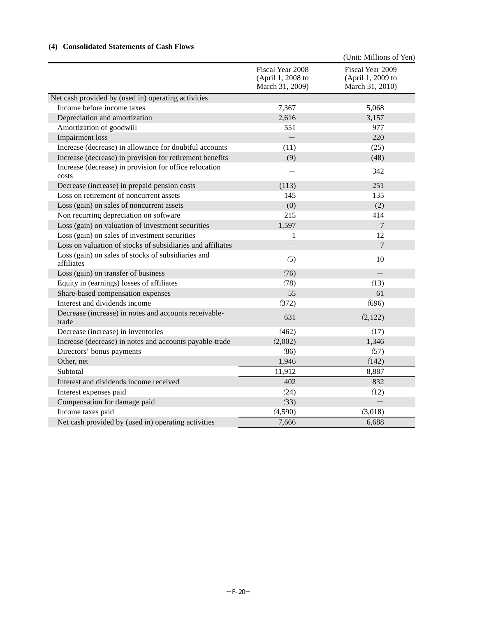# **(4) Consolidated Statements of Cash Flows**

|                                                                  |                                                          | (Unit: Millions of Yen)                                  |
|------------------------------------------------------------------|----------------------------------------------------------|----------------------------------------------------------|
|                                                                  | Fiscal Year 2008<br>(April 1, 2008 to<br>March 31, 2009) | Fiscal Year 2009<br>(April 1, 2009 to<br>March 31, 2010) |
| Net cash provided by (used in) operating activities              |                                                          |                                                          |
| Income before income taxes                                       | 7,367                                                    | 5,068                                                    |
| Depreciation and amortization                                    | 2,616                                                    | 3,157                                                    |
| Amortization of goodwill                                         | 551                                                      | 977                                                      |
| Impairment loss                                                  |                                                          | 220                                                      |
| Increase (decrease) in allowance for doubtful accounts           | (11)                                                     | (25)                                                     |
| Increase (decrease) in provision for retirement benefits         | (9)                                                      | (48)                                                     |
| Increase (decrease) in provision for office relocation<br>costs  |                                                          | 342                                                      |
| Decrease (increase) in prepaid pension costs                     | (113)                                                    | 251                                                      |
| Loss on retirement of noncurrent assets                          | 145                                                      | 135                                                      |
| Loss (gain) on sales of noncurrent assets                        | (0)                                                      | (2)                                                      |
| Non recurring depreciation on software                           | 215                                                      | 414                                                      |
| Loss (gain) on valuation of investment securities                | 1,597                                                    | $\overline{7}$                                           |
| Loss (gain) on sales of investment securities                    | 1                                                        | 12                                                       |
| Loss on valuation of stocks of subsidiaries and affiliates       |                                                          | $\overline{7}$                                           |
| Loss (gain) on sales of stocks of subsidiaries and<br>affiliates | (5)                                                      | 10                                                       |
| Loss (gain) on transfer of business                              | (76)                                                     |                                                          |
| Equity in (earnings) losses of affiliates                        | (78)                                                     | (13)                                                     |
| Share-based compensation expenses                                | 55                                                       | 61                                                       |
| Interest and dividends income                                    | (372)                                                    | (696)                                                    |
| Decrease (increase) in notes and accounts receivable-<br>trade   | 631                                                      | (2,122)                                                  |
| Decrease (increase) in inventories                               | (462)                                                    | (17)                                                     |
| Increase (decrease) in notes and accounts payable-trade          | (2,002)                                                  | 1,346                                                    |
| Directors' bonus payments                                        | (86)                                                     | (57)                                                     |
| Other, net                                                       | 1,946                                                    | (142)                                                    |
| Subtotal                                                         | 11,912                                                   | 8,887                                                    |
| Interest and dividends income received                           | 402                                                      | 832                                                      |
| Interest expenses paid                                           | (24)                                                     | (12)                                                     |
| Compensation for damage paid                                     | (33)                                                     |                                                          |
| Income taxes paid                                                | (4,590)                                                  | (3,018)                                                  |
| Net cash provided by (used in) operating activities              | 7,666                                                    | 6,688                                                    |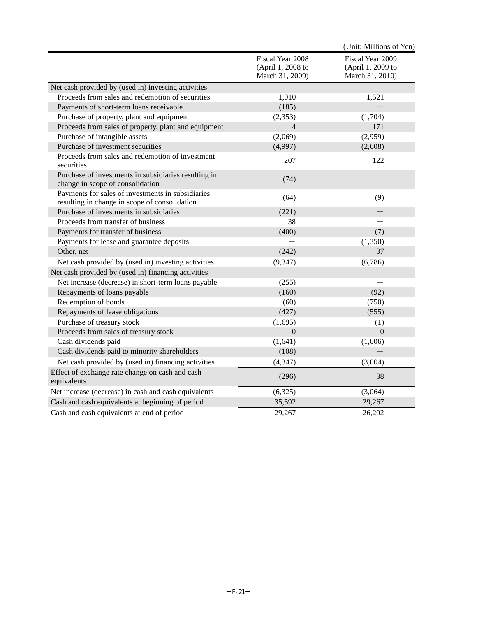|                                                                                                    |                                                          | (Unit: Millions of Yen)                                  |
|----------------------------------------------------------------------------------------------------|----------------------------------------------------------|----------------------------------------------------------|
|                                                                                                    | Fiscal Year 2008<br>(April 1, 2008 to<br>March 31, 2009) | Fiscal Year 2009<br>(April 1, 2009 to<br>March 31, 2010) |
| Net cash provided by (used in) investing activities                                                |                                                          |                                                          |
| Proceeds from sales and redemption of securities                                                   | 1,010                                                    | 1,521                                                    |
| Payments of short-term loans receivable                                                            | (185)                                                    |                                                          |
| Purchase of property, plant and equipment                                                          | (2,353)                                                  | (1,704)                                                  |
| Proceeds from sales of property, plant and equipment                                               | $\overline{4}$                                           | 171                                                      |
| Purchase of intangible assets                                                                      | (2,069)                                                  | (2,959)                                                  |
| Purchase of investment securities                                                                  | (4,997)                                                  | (2,608)                                                  |
| Proceeds from sales and redemption of investment<br>securities                                     | 207                                                      | 122                                                      |
| Purchase of investments in subsidiaries resulting in<br>change in scope of consolidation           | (74)                                                     |                                                          |
| Payments for sales of investments in subsidiaries<br>resulting in change in scope of consolidation | (64)                                                     | (9)                                                      |
| Purchase of investments in subsidiaries                                                            | (221)                                                    | $\overline{\phantom{0}}$                                 |
| Proceeds from transfer of business                                                                 | 38                                                       |                                                          |
| Payments for transfer of business                                                                  | (400)                                                    | (7)                                                      |
| Payments for lease and guarantee deposits                                                          |                                                          | (1,350)                                                  |
| Other, net                                                                                         | (242)                                                    | 37                                                       |
| Net cash provided by (used in) investing activities                                                | (9, 347)                                                 | (6,786)                                                  |
| Net cash provided by (used in) financing activities                                                |                                                          |                                                          |
| Net increase (decrease) in short-term loans payable                                                | (255)                                                    |                                                          |
| Repayments of loans payable                                                                        | (160)                                                    | (92)                                                     |
| Redemption of bonds                                                                                | (60)                                                     | (750)                                                    |
| Repayments of lease obligations                                                                    | (427)                                                    | (555)                                                    |
| Purchase of treasury stock                                                                         | (1,695)                                                  | (1)                                                      |
| Proceeds from sales of treasury stock                                                              | $\mathbf{0}$                                             | $\overline{0}$                                           |
| Cash dividends paid                                                                                | (1,641)                                                  | (1,606)                                                  |
| Cash dividends paid to minority shareholders                                                       | (108)                                                    |                                                          |
| Net cash provided by (used in) financing activities                                                | (4, 347)                                                 | (3,004)                                                  |
| Effect of exchange rate change on cash and cash<br>equivalents                                     | (296)                                                    | 38                                                       |
| Net increase (decrease) in cash and cash equivalents                                               | (6,325)                                                  | (3,064)                                                  |
| Cash and cash equivalents at beginning of period                                                   | 35,592                                                   | 29,267                                                   |
| Cash and cash equivalents at end of period                                                         | 29,267                                                   | 26,202                                                   |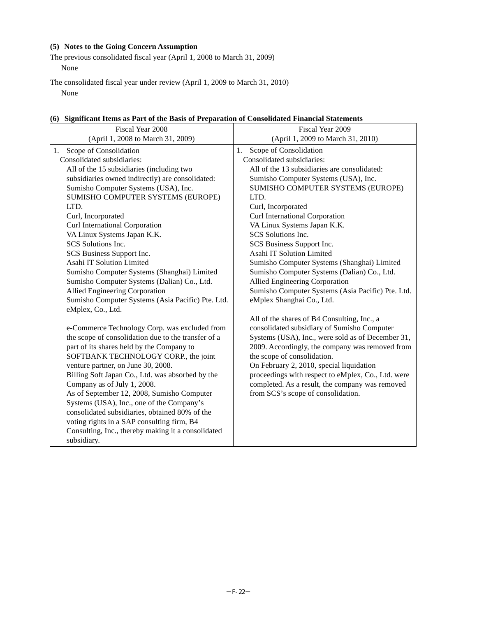# **(5) Notes to the Going Concern Assumption**

The previous consolidated fiscal year (April 1, 2008 to March 31, 2009) None

The consolidated fiscal year under review (April 1, 2009 to March 31, 2010) None

|  |  | (6) Significant Items as Part of the Basis of Preparation of Consolidated Financial Statements |
|--|--|------------------------------------------------------------------------------------------------|
|  |  |                                                                                                |

| Fiscal Year 2008<br>Fiscal Year 2009                                                         |                                                    |  |
|----------------------------------------------------------------------------------------------|----------------------------------------------------|--|
| (April 1, 2008 to March 31, 2009)                                                            | (April 1, 2009 to March 31, 2010)                  |  |
| 1. Scope of Consolidation                                                                    | Scope of Consolidation<br>1.                       |  |
| Consolidated subsidiaries:                                                                   | Consolidated subsidiaries:                         |  |
| All of the 15 subsidiaries (including two                                                    | All of the 13 subsidiaries are consolidated:       |  |
| subsidiaries owned indirectly) are consolidated:                                             | Sumisho Computer Systems (USA), Inc.               |  |
| Sumisho Computer Systems (USA), Inc.                                                         | SUMISHO COMPUTER SYSTEMS (EUROPE)                  |  |
| SUMISHO COMPUTER SYSTEMS (EUROPE)                                                            | LTD.                                               |  |
| LTD.                                                                                         | Curl, Incorporated                                 |  |
| Curl, Incorporated                                                                           | Curl International Corporation                     |  |
| Curl International Corporation                                                               | VA Linux Systems Japan K.K.                        |  |
| VA Linux Systems Japan K.K.                                                                  | SCS Solutions Inc.                                 |  |
| SCS Solutions Inc.                                                                           | SCS Business Support Inc.                          |  |
| SCS Business Support Inc.                                                                    | Asahi IT Solution Limited                          |  |
| Asahi IT Solution Limited                                                                    | Sumisho Computer Systems (Shanghai) Limited        |  |
| Sumisho Computer Systems (Shanghai) Limited                                                  | Sumisho Computer Systems (Dalian) Co., Ltd.        |  |
| Sumisho Computer Systems (Dalian) Co., Ltd.                                                  | Allied Engineering Corporation                     |  |
| Allied Engineering Corporation                                                               | Sumisho Computer Systems (Asia Pacific) Pte. Ltd.  |  |
| Sumisho Computer Systems (Asia Pacific) Pte. Ltd.                                            | eMplex Shanghai Co., Ltd.                          |  |
| eMplex, Co., Ltd.                                                                            |                                                    |  |
|                                                                                              | All of the shares of B4 Consulting, Inc., a        |  |
| e-Commerce Technology Corp. was excluded from                                                | consolidated subsidiary of Sumisho Computer        |  |
| the scope of consolidation due to the transfer of a                                          | Systems (USA), Inc., were sold as of December 31,  |  |
| part of its shares held by the Company to<br>2009. Accordingly, the company was removed from |                                                    |  |
| SOFTBANK TECHNOLOGY CORP., the joint                                                         | the scope of consolidation.                        |  |
| venture partner, on June 30, 2008.                                                           | On February 2, 2010, special liquidation           |  |
| Billing Soft Japan Co., Ltd. was absorbed by the                                             | proceedings with respect to eMplex, Co., Ltd. were |  |
| Company as of July 1, 2008.                                                                  | completed. As a result, the company was removed    |  |
| As of September 12, 2008, Sumisho Computer                                                   | from SCS's scope of consolidation.                 |  |
| Systems (USA), Inc., one of the Company's                                                    |                                                    |  |
| consolidated subsidiaries, obtained 80% of the                                               |                                                    |  |
| voting rights in a SAP consulting firm, B4                                                   |                                                    |  |
| Consulting, Inc., thereby making it a consolidated                                           |                                                    |  |
| subsidiary.                                                                                  |                                                    |  |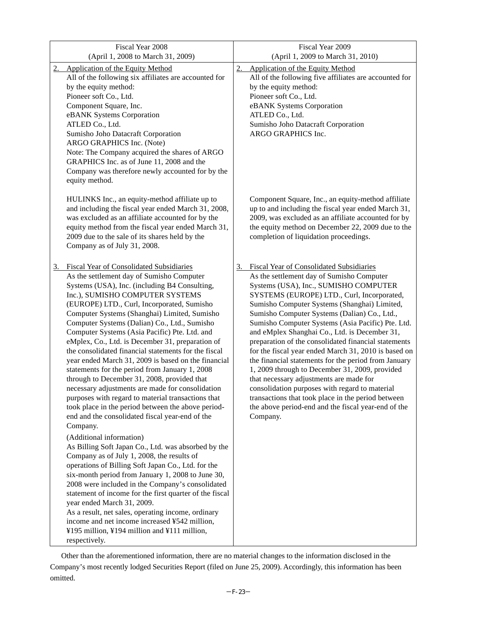| Fiscal Year 2008<br>(April 1, 2008 to March 31, 2009)                                                                                                                                                                                                                                                                                                                                                                                                                                                                                                                                                                                                                                                                                                                                                                                                                                                                                                                                                                                                                                                                                                                                                                                                                                                                                                                                                                                                     | Fiscal Year 2009<br>(April 1, 2009 to March 31, 2010)                                                                                                                                                                                                                                                                                                                                                                                                                                                                                                                                                                                                                                                                                                                                                                                           |
|-----------------------------------------------------------------------------------------------------------------------------------------------------------------------------------------------------------------------------------------------------------------------------------------------------------------------------------------------------------------------------------------------------------------------------------------------------------------------------------------------------------------------------------------------------------------------------------------------------------------------------------------------------------------------------------------------------------------------------------------------------------------------------------------------------------------------------------------------------------------------------------------------------------------------------------------------------------------------------------------------------------------------------------------------------------------------------------------------------------------------------------------------------------------------------------------------------------------------------------------------------------------------------------------------------------------------------------------------------------------------------------------------------------------------------------------------------------|-------------------------------------------------------------------------------------------------------------------------------------------------------------------------------------------------------------------------------------------------------------------------------------------------------------------------------------------------------------------------------------------------------------------------------------------------------------------------------------------------------------------------------------------------------------------------------------------------------------------------------------------------------------------------------------------------------------------------------------------------------------------------------------------------------------------------------------------------|
| <b>Application of the Equity Method</b><br>2.<br>All of the following six affiliates are accounted for<br>by the equity method:<br>Pioneer soft Co., Ltd.<br>Component Square, Inc.<br>eBANK Systems Corporation<br>ATLED Co., Ltd.<br>Sumisho Joho Datacraft Corporation<br>ARGO GRAPHICS Inc. (Note)<br>Note: The Company acquired the shares of ARGO<br>GRAPHICS Inc. as of June 11, 2008 and the<br>Company was therefore newly accounted for by the<br>equity method.                                                                                                                                                                                                                                                                                                                                                                                                                                                                                                                                                                                                                                                                                                                                                                                                                                                                                                                                                                                | 2.<br><b>Application of the Equity Method</b><br>All of the following five affiliates are accounted for<br>by the equity method:<br>Pioneer soft Co., Ltd.<br>eBANK Systems Corporation<br>ATLED Co., Ltd.<br>Sumisho Joho Datacraft Corporation<br>ARGO GRAPHICS Inc.                                                                                                                                                                                                                                                                                                                                                                                                                                                                                                                                                                          |
| HULINKS Inc., an equity-method affiliate up to<br>and including the fiscal year ended March 31, 2008,<br>was excluded as an affiliate accounted for by the<br>equity method from the fiscal year ended March 31,<br>2009 due to the sale of its shares held by the<br>Company as of July 31, 2008.                                                                                                                                                                                                                                                                                                                                                                                                                                                                                                                                                                                                                                                                                                                                                                                                                                                                                                                                                                                                                                                                                                                                                        | Component Square, Inc., an equity-method affiliate<br>up to and including the fiscal year ended March 31,<br>2009, was excluded as an affiliate accounted for by<br>the equity method on December 22, 2009 due to the<br>completion of liquidation proceedings.                                                                                                                                                                                                                                                                                                                                                                                                                                                                                                                                                                                 |
| <b>Fiscal Year of Consolidated Subsidiaries</b><br>3.<br>As the settlement day of Sumisho Computer<br>Systems (USA), Inc. (including B4 Consulting,<br>Inc.), SUMISHO COMPUTER SYSTEMS<br>(EUROPE) LTD., Curl, Incorporated, Sumisho<br>Computer Systems (Shanghai) Limited, Sumisho<br>Computer Systems (Dalian) Co., Ltd., Sumisho<br>Computer Systems (Asia Pacific) Pte. Ltd. and<br>eMplex, Co., Ltd. is December 31, preparation of<br>the consolidated financial statements for the fiscal<br>year ended March 31, 2009 is based on the financial<br>statements for the period from January 1, 2008<br>through to December 31, 2008, provided that<br>necessary adjustments are made for consolidation<br>purposes with regard to material transactions that<br>took place in the period between the above period-<br>end and the consolidated fiscal year-end of the<br>Company.<br>(Additional information)<br>As Billing Soft Japan Co., Ltd. was absorbed by the<br>Company as of July 1, 2008, the results of<br>operations of Billing Soft Japan Co., Ltd. for the<br>six-month period from January 1, 2008 to June 30,<br>2008 were included in the Company's consolidated<br>statement of income for the first quarter of the fiscal<br>year ended March 31, 2009.<br>As a result, net sales, operating income, ordinary<br>income and net income increased ¥542 million,<br>¥195 million, ¥194 million and ¥111 million,<br>respectively. | <b>Fiscal Year of Consolidated Subsidiaries</b><br>3.<br>As the settlement day of Sumisho Computer<br>Systems (USA), Inc., SUMISHO COMPUTER<br>SYSTEMS (EUROPE) LTD., Curl, Incorporated,<br>Sumisho Computer Systems (Shanghai) Limited,<br>Sumisho Computer Systems (Dalian) Co., Ltd.,<br>Sumisho Computer Systems (Asia Pacific) Pte. Ltd.<br>and eMplex Shanghai Co., Ltd. is December 31,<br>preparation of the consolidated financial statements<br>for the fiscal year ended March 31, 2010 is based on<br>the financial statements for the period from January<br>1, 2009 through to December 31, 2009, provided<br>that necessary adjustments are made for<br>consolidation purposes with regard to material<br>transactions that took place in the period between<br>the above period-end and the fiscal year-end of the<br>Company. |

Other than the aforementioned information, there are no material changes to the information disclosed in the Company's most recently lodged Securities Report (filed on June 25, 2009). Accordingly, this information has been omitted.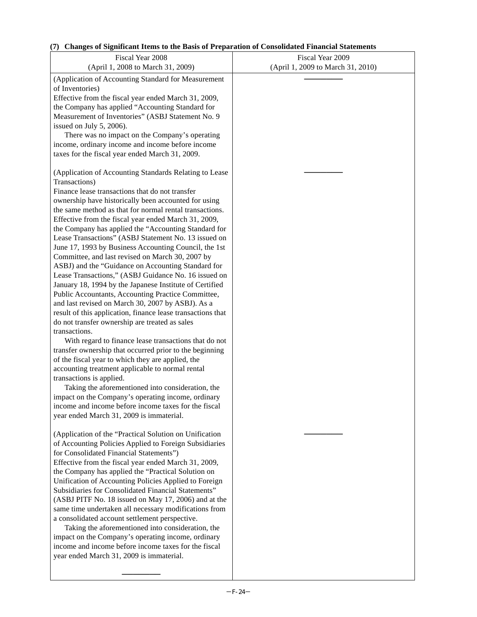# **(7) Changes of Significant Items to the Basis of Preparation of Consolidated Financial Statements**

| Fiscal Year 2008<br>(April 1, 2008 to March 31, 2009)                                                                                                                                                                                                                                                                                                                                                                                                                                                                                                                                                                                                                                                                                                                                                                                                                                                                                                                                                                                                                                                                                                                                                                                                                                                                                                                                                                            | Fiscal Year 2009<br>(April 1, 2009 to March 31, 2010) |
|----------------------------------------------------------------------------------------------------------------------------------------------------------------------------------------------------------------------------------------------------------------------------------------------------------------------------------------------------------------------------------------------------------------------------------------------------------------------------------------------------------------------------------------------------------------------------------------------------------------------------------------------------------------------------------------------------------------------------------------------------------------------------------------------------------------------------------------------------------------------------------------------------------------------------------------------------------------------------------------------------------------------------------------------------------------------------------------------------------------------------------------------------------------------------------------------------------------------------------------------------------------------------------------------------------------------------------------------------------------------------------------------------------------------------------|-------------------------------------------------------|
| (Application of Accounting Standard for Measurement<br>of Inventories)<br>Effective from the fiscal year ended March 31, 2009,<br>the Company has applied "Accounting Standard for<br>Measurement of Inventories" (ASBJ Statement No. 9<br>issued on July 5, 2006).<br>There was no impact on the Company's operating<br>income, ordinary income and income before income<br>taxes for the fiscal year ended March 31, 2009.                                                                                                                                                                                                                                                                                                                                                                                                                                                                                                                                                                                                                                                                                                                                                                                                                                                                                                                                                                                                     |                                                       |
| (Application of Accounting Standards Relating to Lease<br>Transactions)<br>Finance lease transactions that do not transfer<br>ownership have historically been accounted for using<br>the same method as that for normal rental transactions.<br>Effective from the fiscal year ended March 31, 2009,<br>the Company has applied the "Accounting Standard for<br>Lease Transactions" (ASBJ Statement No. 13 issued on<br>June 17, 1993 by Business Accounting Council, the 1st<br>Committee, and last revised on March 30, 2007 by<br>ASBJ) and the "Guidance on Accounting Standard for<br>Lease Transactions," (ASBJ Guidance No. 16 issued on<br>January 18, 1994 by the Japanese Institute of Certified<br>Public Accountants, Accounting Practice Committee,<br>and last revised on March 30, 2007 by ASBJ). As a<br>result of this application, finance lease transactions that<br>do not transfer ownership are treated as sales<br>transactions.<br>With regard to finance lease transactions that do not<br>transfer ownership that occurred prior to the beginning<br>of the fiscal year to which they are applied, the<br>accounting treatment applicable to normal rental<br>transactions is applied.<br>Taking the aforementioned into consideration, the<br>impact on the Company's operating income, ordinary<br>income and income before income taxes for the fiscal<br>year ended March 31, 2009 is immaterial. |                                                       |
| (Application of the "Practical Solution on Unification<br>of Accounting Policies Applied to Foreign Subsidiaries<br>for Consolidated Financial Statements")<br>Effective from the fiscal year ended March 31, 2009,<br>the Company has applied the "Practical Solution on<br>Unification of Accounting Policies Applied to Foreign<br>Subsidiaries for Consolidated Financial Statements"<br>(ASBJ PITF No. 18 issued on May 17, 2006) and at the<br>same time undertaken all necessary modifications from<br>a consolidated account settlement perspective.<br>Taking the aforementioned into consideration, the<br>impact on the Company's operating income, ordinary<br>income and income before income taxes for the fiscal<br>year ended March 31, 2009 is immaterial.                                                                                                                                                                                                                                                                                                                                                                                                                                                                                                                                                                                                                                                      |                                                       |

\_\_\_\_\_\_\_\_\_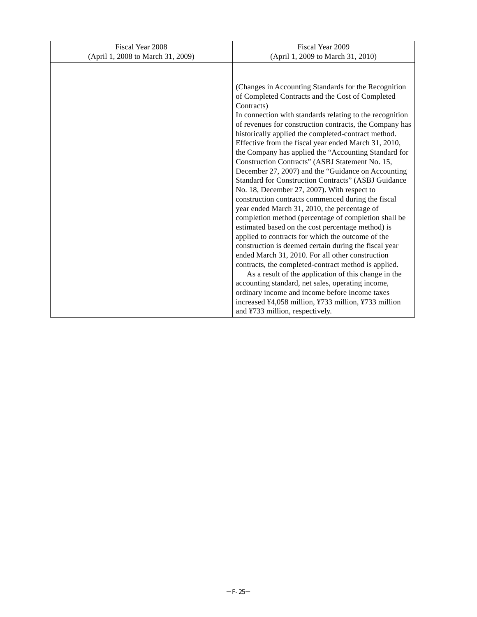| Fiscal Year 2008                  | Fiscal Year 2009                                                                                          |  |
|-----------------------------------|-----------------------------------------------------------------------------------------------------------|--|
| (April 1, 2008 to March 31, 2009) | (April 1, 2009 to March 31, 2010)                                                                         |  |
|                                   |                                                                                                           |  |
|                                   |                                                                                                           |  |
|                                   | (Changes in Accounting Standards for the Recognition)                                                     |  |
|                                   | of Completed Contracts and the Cost of Completed<br>Contracts)                                            |  |
|                                   | In connection with standards relating to the recognition                                                  |  |
|                                   | of revenues for construction contracts, the Company has                                                   |  |
|                                   | historically applied the completed-contract method.                                                       |  |
|                                   | Effective from the fiscal year ended March 31, 2010,                                                      |  |
|                                   | the Company has applied the "Accounting Standard for                                                      |  |
|                                   | Construction Contracts" (ASBJ Statement No. 15,                                                           |  |
|                                   | December 27, 2007) and the "Guidance on Accounting                                                        |  |
|                                   | Standard for Construction Contracts" (ASBJ Guidance                                                       |  |
|                                   | No. 18, December 27, 2007). With respect to                                                               |  |
|                                   | construction contracts commenced during the fiscal                                                        |  |
|                                   | year ended March 31, 2010, the percentage of                                                              |  |
|                                   | completion method (percentage of completion shall be                                                      |  |
|                                   | estimated based on the cost percentage method) is                                                         |  |
|                                   | applied to contracts for which the outcome of the                                                         |  |
|                                   | construction is deemed certain during the fiscal year                                                     |  |
|                                   | ended March 31, 2010. For all other construction                                                          |  |
|                                   | contracts, the completed-contract method is applied.                                                      |  |
|                                   | As a result of the application of this change in the<br>accounting standard, net sales, operating income, |  |
|                                   | ordinary income and income before income taxes                                                            |  |
|                                   | increased ¥4,058 million, ¥733 million, ¥733 million                                                      |  |
|                                   | and ¥733 million, respectively.                                                                           |  |
|                                   |                                                                                                           |  |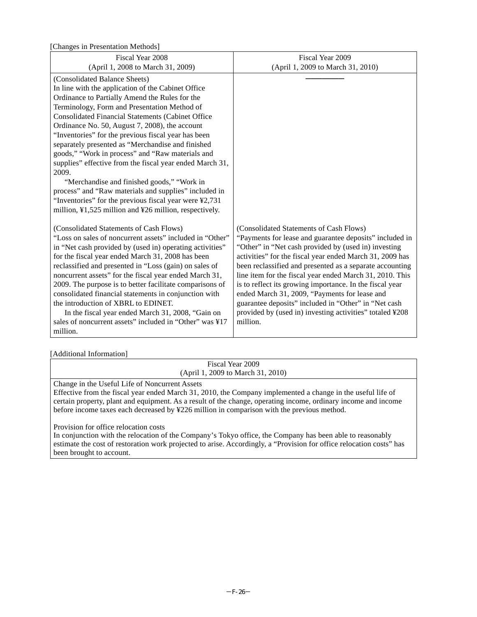[Changes in Presentation Methods]

| $\epsilon$ <sup>0</sup>                                  |                                                                      |
|----------------------------------------------------------|----------------------------------------------------------------------|
| Fiscal Year 2008                                         | Fiscal Year 2009                                                     |
| (April 1, 2008 to March 31, 2009)                        | (April 1, 2009 to March 31, 2010)                                    |
| (Consolidated Balance Sheets)                            |                                                                      |
| In line with the application of the Cabinet Office       |                                                                      |
| Ordinance to Partially Amend the Rules for the           |                                                                      |
| Terminology, Form and Presentation Method of             |                                                                      |
| <b>Consolidated Financial Statements (Cabinet Office</b> |                                                                      |
| Ordinance No. 50, August 7, 2008), the account           |                                                                      |
| "Inventories" for the previous fiscal year has been      |                                                                      |
| separately presented as "Merchandise and finished        |                                                                      |
| goods," "Work in process" and "Raw materials and         |                                                                      |
| supplies" effective from the fiscal year ended March 31, |                                                                      |
| 2009.                                                    |                                                                      |
| "Merchandise and finished goods," "Work in               |                                                                      |
| process" and "Raw materials and supplies" included in    |                                                                      |
| "Inventories" for the previous fiscal year were ¥2,731   |                                                                      |
| million, ¥1,525 million and ¥26 million, respectively.   |                                                                      |
|                                                          |                                                                      |
| (Consolidated Statements of Cash Flows)                  | (Consolidated Statements of Cash Flows)                              |
| "Loss on sales of noncurrent assets" included in "Other" | "Payments for lease and guarantee deposits" included in              |
| in "Net cash provided by (used in) operating activities" | "Other" in "Net cash provided by (used in) investing                 |
| for the fiscal year ended March 31, 2008 has been        | activities" for the fiscal year ended March 31, 2009 has             |
| reclassified and presented in "Loss (gain) on sales of   | been reclassified and presented as a separate accounting             |
| noncurrent assets" for the fiscal year ended March 31,   | line item for the fiscal year ended March 31, 2010. This             |
| 2009. The purpose is to better facilitate comparisons of | is to reflect its growing importance. In the fiscal year             |
| consolidated financial statements in conjunction with    | ended March 31, 2009, "Payments for lease and                        |
| the introduction of XBRL to EDINET.                      | guarantee deposits" included in "Other" in "Net cash                 |
| In the fiscal year ended March 31, 2008, "Gain on        | provided by (used in) investing activities" totaled ¥208<br>million. |
| sales of noncurrent assets" included in "Other" was ¥17  |                                                                      |
| million.                                                 |                                                                      |

## [Additional Information]

| Fiscal Year 2009<br>(April 1, 2009 to March 31, 2010)                                                                                                                                                                                                                                                                                                                         |
|-------------------------------------------------------------------------------------------------------------------------------------------------------------------------------------------------------------------------------------------------------------------------------------------------------------------------------------------------------------------------------|
| Change in the Useful Life of Noncurrent Assets<br>Effective from the fiscal year ended March 31, 2010, the Company implemented a change in the useful life of<br>certain property, plant and equipment. As a result of the change, operating income, ordinary income and income<br>before income taxes each decreased by ¥226 million in comparison with the previous method. |
| Provision for office relocation costs<br>In conjunction with the relocation of the Company's Tokyo office, the Company has been able to reasonably<br>estimate the cost of restoration work projected to arise. Accordingly, a "Provision for office relocation costs" has<br>been brought to account.                                                                        |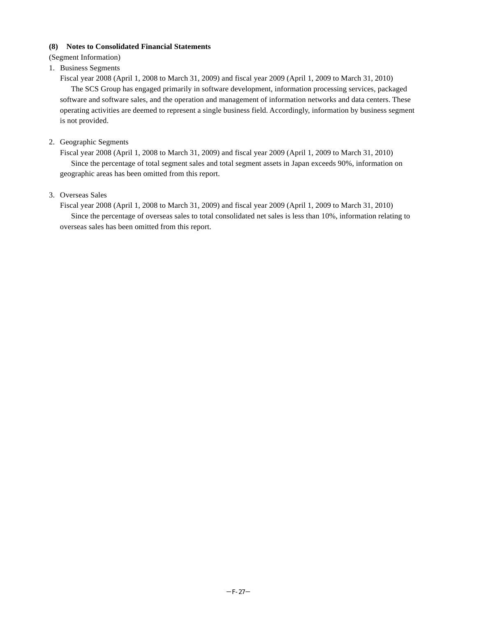# **(8) Notes to Consolidated Financial Statements**

(Segment Information)

# 1. Business Segments

Fiscal year 2008 (April 1, 2008 to March 31, 2009) and fiscal year 2009 (April 1, 2009 to March 31, 2010)

The SCS Group has engaged primarily in software development, information processing services, packaged software and software sales, and the operation and management of information networks and data centers. These operating activities are deemed to represent a single business field. Accordingly, information by business segment is not provided.

# 2. Geographic Segments

Fiscal year 2008 (April 1, 2008 to March 31, 2009) and fiscal year 2009 (April 1, 2009 to March 31, 2010) Since the percentage of total segment sales and total segment assets in Japan exceeds 90%, information on geographic areas has been omitted from this report.

## 3. Overseas Sales

Fiscal year 2008 (April 1, 2008 to March 31, 2009) and fiscal year 2009 (April 1, 2009 to March 31, 2010) Since the percentage of overseas sales to total consolidated net sales is less than 10%, information relating to overseas sales has been omitted from this report.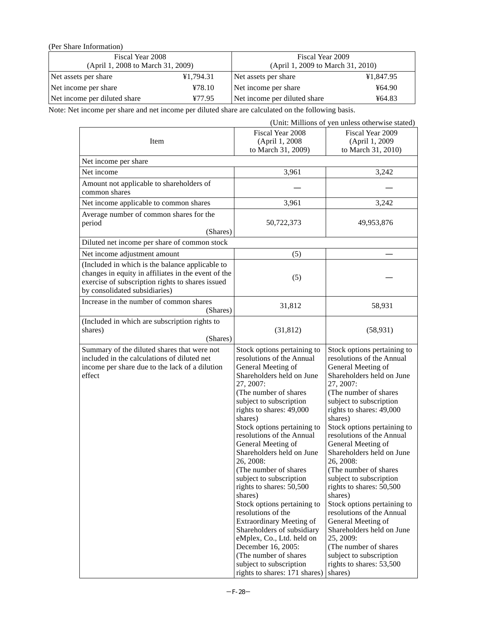(Per Share Information)

| Fiscal Year 2008                  |           | Fiscal Year 2009                  |           |  |
|-----------------------------------|-----------|-----------------------------------|-----------|--|
| (April 1, 2008 to March 31, 2009) |           | (April 1, 2009 to March 31, 2010) |           |  |
| Net assets per share              | ¥1,794.31 | Net assets per share              | ¥1,847.95 |  |
| Net income per share              | 478.10    | Net income per share              | 464.90    |  |
| Net income per diluted share      | ¥77.95    | Net income per diluted share      | ¥64.83    |  |

Note: Net income per share and net income per diluted share are calculated on the following basis.

| (Unit: Millions of yen unless otherwise stated)                                                                                                                                             |                                                                                                                                                                                                                                                                                                                                                                                                                                                                                                                                                                                                                                                                                                          |                                                                                                                                                                                                                                                                                                                                                                                                                                                                                                                                                                                                                                                                   |  |
|---------------------------------------------------------------------------------------------------------------------------------------------------------------------------------------------|----------------------------------------------------------------------------------------------------------------------------------------------------------------------------------------------------------------------------------------------------------------------------------------------------------------------------------------------------------------------------------------------------------------------------------------------------------------------------------------------------------------------------------------------------------------------------------------------------------------------------------------------------------------------------------------------------------|-------------------------------------------------------------------------------------------------------------------------------------------------------------------------------------------------------------------------------------------------------------------------------------------------------------------------------------------------------------------------------------------------------------------------------------------------------------------------------------------------------------------------------------------------------------------------------------------------------------------------------------------------------------------|--|
| Item                                                                                                                                                                                        | Fiscal Year 2008<br>(April 1, 2008)<br>to March 31, 2009)                                                                                                                                                                                                                                                                                                                                                                                                                                                                                                                                                                                                                                                | Fiscal Year 2009<br>(April 1, 2009)<br>to March 31, 2010)                                                                                                                                                                                                                                                                                                                                                                                                                                                                                                                                                                                                         |  |
| Net income per share                                                                                                                                                                        |                                                                                                                                                                                                                                                                                                                                                                                                                                                                                                                                                                                                                                                                                                          |                                                                                                                                                                                                                                                                                                                                                                                                                                                                                                                                                                                                                                                                   |  |
| Net income                                                                                                                                                                                  | 3,961                                                                                                                                                                                                                                                                                                                                                                                                                                                                                                                                                                                                                                                                                                    | 3,242                                                                                                                                                                                                                                                                                                                                                                                                                                                                                                                                                                                                                                                             |  |
| Amount not applicable to shareholders of<br>common shares                                                                                                                                   |                                                                                                                                                                                                                                                                                                                                                                                                                                                                                                                                                                                                                                                                                                          |                                                                                                                                                                                                                                                                                                                                                                                                                                                                                                                                                                                                                                                                   |  |
| Net income applicable to common shares                                                                                                                                                      | 3,961                                                                                                                                                                                                                                                                                                                                                                                                                                                                                                                                                                                                                                                                                                    | 3,242                                                                                                                                                                                                                                                                                                                                                                                                                                                                                                                                                                                                                                                             |  |
| Average number of common shares for the<br>period<br>(Shares)                                                                                                                               | 50,722,373                                                                                                                                                                                                                                                                                                                                                                                                                                                                                                                                                                                                                                                                                               | 49,953,876                                                                                                                                                                                                                                                                                                                                                                                                                                                                                                                                                                                                                                                        |  |
| Diluted net income per share of common stock                                                                                                                                                |                                                                                                                                                                                                                                                                                                                                                                                                                                                                                                                                                                                                                                                                                                          |                                                                                                                                                                                                                                                                                                                                                                                                                                                                                                                                                                                                                                                                   |  |
| Net income adjustment amount                                                                                                                                                                | (5)                                                                                                                                                                                                                                                                                                                                                                                                                                                                                                                                                                                                                                                                                                      |                                                                                                                                                                                                                                                                                                                                                                                                                                                                                                                                                                                                                                                                   |  |
| (Included in which is the balance applicable to<br>changes in equity in affiliates in the event of the<br>exercise of subscription rights to shares issued<br>by consolidated subsidiaries) | (5)                                                                                                                                                                                                                                                                                                                                                                                                                                                                                                                                                                                                                                                                                                      |                                                                                                                                                                                                                                                                                                                                                                                                                                                                                                                                                                                                                                                                   |  |
| Increase in the number of common shares<br>(Shares)                                                                                                                                         | 31,812                                                                                                                                                                                                                                                                                                                                                                                                                                                                                                                                                                                                                                                                                                   | 58,931                                                                                                                                                                                                                                                                                                                                                                                                                                                                                                                                                                                                                                                            |  |
| (Included in which are subscription rights to<br>shares)<br>(Shares)                                                                                                                        | (31, 812)                                                                                                                                                                                                                                                                                                                                                                                                                                                                                                                                                                                                                                                                                                | (58, 931)                                                                                                                                                                                                                                                                                                                                                                                                                                                                                                                                                                                                                                                         |  |
| Summary of the diluted shares that were not<br>included in the calculations of diluted net<br>income per share due to the lack of a dilution<br>effect                                      | Stock options pertaining to<br>resolutions of the Annual<br>General Meeting of<br>Shareholders held on June<br>27, 2007:<br>(The number of shares<br>subject to subscription<br>rights to shares: 49,000<br>shares)<br>Stock options pertaining to<br>resolutions of the Annual<br>General Meeting of<br>Shareholders held on June<br>26, 2008:<br>(The number of shares<br>subject to subscription<br>rights to shares: 50,500<br>shares)<br>Stock options pertaining to<br>resolutions of the<br><b>Extraordinary Meeting of</b><br>Shareholders of subsidiary<br>eMplex, Co., Ltd. held on<br>December 16, 2005:<br>(The number of shares<br>subject to subscription<br>rights to shares: 171 shares) | Stock options pertaining to<br>resolutions of the Annual<br>General Meeting of<br>Shareholders held on June<br>27, 2007:<br>(The number of shares<br>subject to subscription<br>rights to shares: 49,000<br>shares)<br>Stock options pertaining to<br>resolutions of the Annual<br>General Meeting of<br>Shareholders held on June<br>26, 2008:<br>(The number of shares<br>subject to subscription<br>rights to shares: 50,500<br>shares)<br>Stock options pertaining to<br>resolutions of the Annual<br>General Meeting of<br>Shareholders held on June<br>25, 2009:<br>(The number of shares<br>subject to subscription<br>rights to shares: 53,500<br>shares) |  |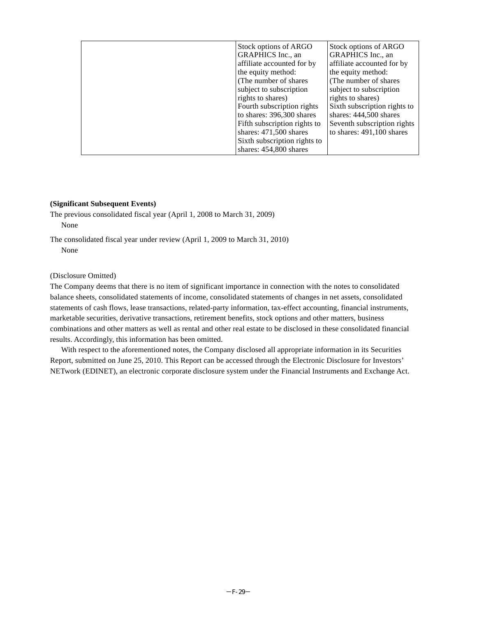| Stock options of ARGO                           | Stock options of ARGO                           |
|-------------------------------------------------|-------------------------------------------------|
| GRAPHICS Inc., an<br>affiliate accounted for by | GRAPHICS Inc., an<br>affiliate accounted for by |
| the equity method:                              | the equity method:                              |
| (The number of shares                           | (The number of shares)                          |
| subject to subscription                         | subject to subscription                         |
| rights to shares)                               | rights to shares)                               |
| Fourth subscription rights                      | Sixth subscription rights to                    |
| to shares: 396,300 shares                       | shares: $444,500$ shares                        |
| Fifth subscription rights to                    | Seventh subscription rights                     |
| shares: $471,500$ shares                        | to shares: 491,100 shares                       |
| Sixth subscription rights to                    |                                                 |
| shares: 454,800 shares                          |                                                 |

#### **(Significant Subsequent Events)**

The previous consolidated fiscal year (April 1, 2008 to March 31, 2009) None

The consolidated fiscal year under review (April 1, 2009 to March 31, 2010) None

(Disclosure Omitted)

The Company deems that there is no item of significant importance in connection with the notes to consolidated balance sheets, consolidated statements of income, consolidated statements of changes in net assets, consolidated statements of cash flows, lease transactions, related-party information, tax-effect accounting, financial instruments, marketable securities, derivative transactions, retirement benefits, stock options and other matters, business combinations and other matters as well as rental and other real estate to be disclosed in these consolidated financial results. Accordingly, this information has been omitted.

With respect to the aforementioned notes, the Company disclosed all appropriate information in its Securities Report, submitted on June 25, 2010. This Report can be accessed through the Electronic Disclosure for Investors' NETwork (EDINET), an electronic corporate disclosure system under the Financial Instruments and Exchange Act.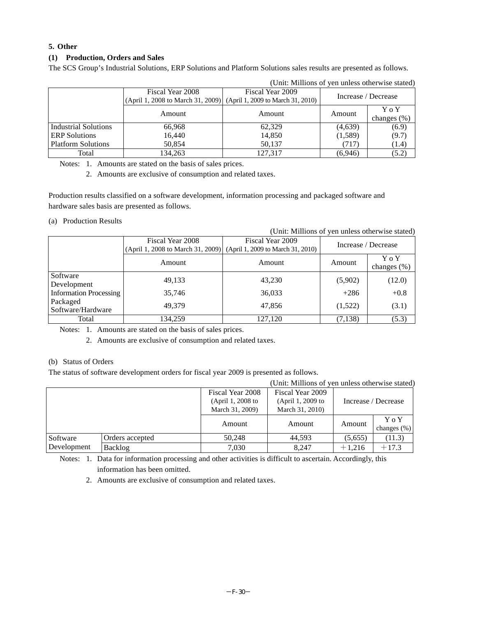# **5. Other**

# **(1) Production, Orders and Sales**

The SCS Group's Industrial Solutions, ERP Solutions and Platform Solutions sales results are presented as follows.

|                             | Fiscal Year 2008<br>(April 1, 2008 to March 31, 2009) (April 1, 2009 to March 31, 2010) | Fiscal Year 2009 | Increase / Decrease |                          |
|-----------------------------|-----------------------------------------------------------------------------------------|------------------|---------------------|--------------------------|
|                             | Amount                                                                                  | Amount           | Amount              | Y o Y<br>changes $(\% )$ |
| <b>Industrial Solutions</b> | 66,968                                                                                  | 62,329           | (4,639)             | (6.9)                    |
| <b>ERP</b> Solutions        | 16,440                                                                                  | 14,850           | (1,589)             | (9.7)                    |
| <b>Platform Solutions</b>   | 50.854                                                                                  | 50.137           | (717)               | (1.4)                    |
| Total                       | 134.263                                                                                 | 127.317          | (6,946)             | (5.2)                    |

(Unit: Millions of yen unless otherwise stated)

Notes: 1. Amounts are stated on the basis of sales prices.

2. Amounts are exclusive of consumption and related taxes.

Production results classified on a software development, information processing and packaged software and hardware sales basis are presented as follows.

# (a) Production Results

| (Unit: Millions of yen unless otherwise stated) |                                   |                                   |                     |                         |  |  |  |  |
|-------------------------------------------------|-----------------------------------|-----------------------------------|---------------------|-------------------------|--|--|--|--|
|                                                 | Fiscal Year 2008                  | Fiscal Year 2009                  | Increase / Decrease |                         |  |  |  |  |
|                                                 | (April 1, 2008 to March 31, 2009) | (April 1, 2009 to March 31, 2010) |                     |                         |  |  |  |  |
|                                                 | Amount                            | Amount                            | Amount              | Y o Y<br>changes $(\%)$ |  |  |  |  |
| Software                                        |                                   |                                   |                     |                         |  |  |  |  |
| Development                                     | 49,133                            | 43,230                            | (5,902)             | (12.0)                  |  |  |  |  |
| <b>Information Processing</b>                   | 35,746                            | 36,033                            | $+286$              | $+0.8$                  |  |  |  |  |
| Packaged<br>Software/Hardware                   | 49.379                            | 47,856                            | (1,522)             | (3.1)                   |  |  |  |  |
| Total                                           | 134,259                           | 127,120                           | (7, 138)            | (5.3)                   |  |  |  |  |

Notes: 1. Amounts are stated on the basis of sales prices.

2. Amounts are exclusive of consumption and related taxes.

# (b) Status of Orders

The status of software development orders for fiscal year 2009 is presented as follows.

| (Unit: Millions of yen unless otherwise stated) |                 |                   |                   |                     |                |  |  |
|-------------------------------------------------|-----------------|-------------------|-------------------|---------------------|----------------|--|--|
|                                                 |                 | Fiscal Year 2008  | Fiscal Year 2009  |                     |                |  |  |
|                                                 |                 | (April 1, 2008 to | (April 1, 2009 to | Increase / Decrease |                |  |  |
|                                                 |                 | March 31, 2009)   | March 31, 2010)   |                     |                |  |  |
|                                                 |                 | Amount            | Amount            | Amount              | Y o Y          |  |  |
|                                                 |                 |                   |                   |                     | changes $(\%)$ |  |  |
| Software<br>Development                         | Orders accepted | 50.248            | 44,593            | (5,655)             | (11.3)         |  |  |
|                                                 | Backlog         | 7.030             | 8.247             | $+1,216$            | $+17.3$        |  |  |

Notes: 1. Data for information processing and other activities is difficult to ascertain. Accordingly, this information has been omitted.

2. Amounts are exclusive of consumption and related taxes.